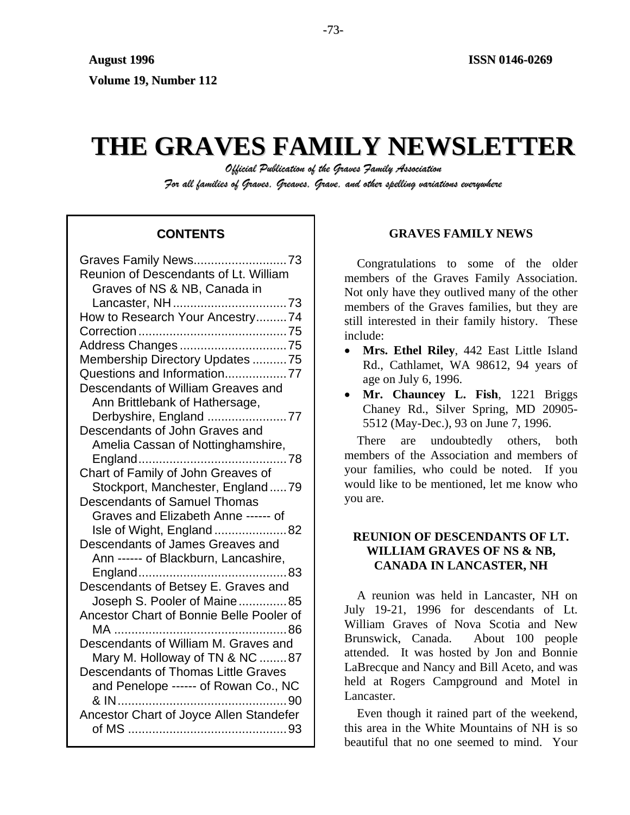# **THE GRAVES FAMILY NEWSLETTER**

*Official Publication of the Graves Family Association For all families of Graves, Greaves, Grave, and other spelling variations everywhere*

# **CONTENTS**

| Graves Family News73                       |
|--------------------------------------------|
| Reunion of Descendants of Lt. William      |
| Graves of NS & NB, Canada in               |
| Lancaster, NH73                            |
| How to Research Your Ancestry74            |
|                                            |
|                                            |
| Membership Directory Updates 75            |
| Questions and Information77                |
| Descendants of William Greaves and         |
| Ann Brittlebank of Hathersage,             |
| Derbyshire, England 77                     |
| Descendants of John Graves and             |
| Amelia Cassan of Nottinghamshire,          |
|                                            |
| Chart of Family of John Greaves of         |
| Stockport, Manchester, England79           |
| <b>Descendants of Samuel Thomas</b>        |
| Graves and Elizabeth Anne ------ of        |
| Isle of Wight, England82                   |
| Descendants of James Greaves and           |
| Ann ------ of Blackburn, Lancashire,       |
| England<br>83                              |
| Descendants of Betsey E. Graves and        |
| Joseph S. Pooler of Maine85                |
| Ancestor Chart of Bonnie Belle Pooler of   |
|                                            |
| Descendants of William M. Graves and       |
| Mary M. Holloway of TN & NC 87             |
| <b>Descendants of Thomas Little Graves</b> |
| and Penelope ------ of Rowan Co., NC       |
|                                            |
| Ancestor Chart of Joyce Allen Standefer    |
|                                            |

# **GRAVES FAMILY NEWS**

Congratulations to some of the older members of the Graves Family Association. Not only have they outlived many of the other members of the Graves families, but they are still interested in their family history. These include:

- **Mrs. Ethel Riley**, 442 East Little Island Rd., Cathlamet, WA 98612, 94 years of age on July 6, 1996.
- **Mr. Chauncey L. Fish**, 1221 Briggs Chaney Rd., Silver Spring, MD 20905- 5512 (May-Dec.), 93 on June 7, 1996.

There are undoubtedly others, both members of the Association and members of your families, who could be noted. If you would like to be mentioned, let me know who you are.

# **REUNION OF DESCENDANTS OF LT. WILLIAM GRAVES OF NS & NB, CANADA IN LANCASTER, NH**

A reunion was held in Lancaster, NH on July 19-21, 1996 for descendants of Lt. William Graves of Nova Scotia and New Brunswick, Canada. About 100 people attended. It was hosted by Jon and Bonnie LaBrecque and Nancy and Bill Aceto, and was held at Rogers Campground and Motel in Lancaster.

Even though it rained part of the weekend, this area in the White Mountains of NH is so beautiful that no one seemed to mind. Your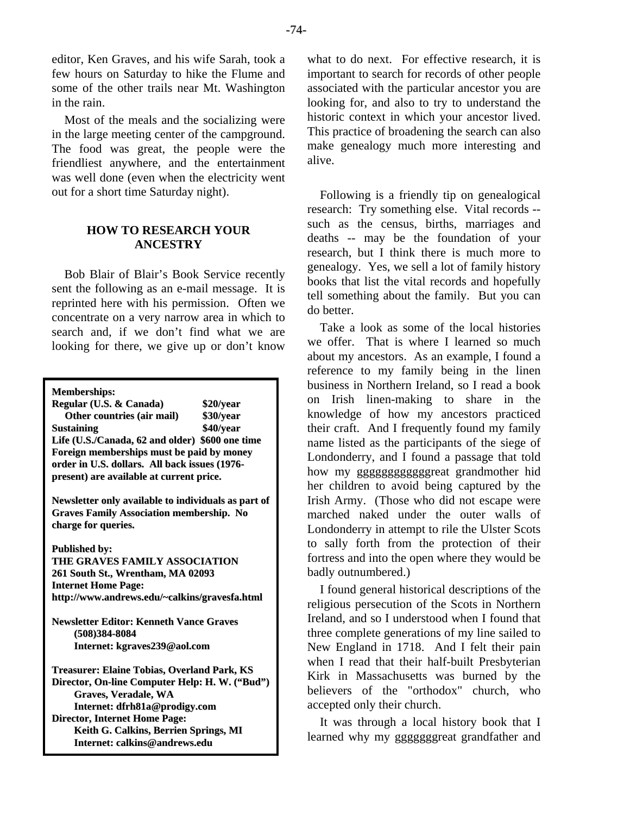editor, Ken Graves, and his wife Sarah, took a few hours on Saturday to hike the Flume and some of the other trails near Mt. Washington in the rain.

Most of the meals and the socializing were in the large meeting center of the campground. The food was great, the people were the friendliest anywhere, and the entertainment was well done (even when the electricity went out for a short time Saturday night).

# **HOW TO RESEARCH YOUR ANCESTRY**

Bob Blair of Blair's Book Service recently sent the following as an e-mail message. It is reprinted here with his permission. Often we concentrate on a very narrow area in which to search and, if we don't find what we are looking for there, we give up or don't know

**Memberships: Regular (U.S. & Canada) \$20/year Other countries (air mail) \$30/year Sustaining \$40/year Life (U.S./Canada, 62 and older) \$600 one time Foreign memberships must be paid by money order in U.S. dollars. All back issues (1976 present) are available at current price.**

**Newsletter only available to individuals as part of Graves Family Association membership. No charge for queries.**

**Published by:**

**THE GRAVES FAMILY ASSOCIATION 261 South St., Wrentham, MA 02093 Internet Home Page: http://www.andrews.edu/~calkins/gravesfa.html**

**Newsletter Editor: Kenneth Vance Graves (508)384-8084 Internet: kgraves239@aol.com**

**Treasurer: Elaine Tobias, Overland Park, KS Director, On-line Computer Help: H. W. ("Bud") Graves, Veradale, WA Internet: dfrh81a@prodigy.com Director, Internet Home Page: Keith G. Calkins, Berrien Springs, MI Internet: calkins@andrews.edu**

what to do next. For effective research, it is important to search for records of other people associated with the particular ancestor you are looking for, and also to try to understand the historic context in which your ancestor lived. This practice of broadening the search can also make genealogy much more interesting and alive.

Following is a friendly tip on genealogical research: Try something else. Vital records - such as the census, births, marriages and deaths -- may be the foundation of your research, but I think there is much more to genealogy. Yes, we sell a lot of family history books that list the vital records and hopefully tell something about the family. But you can do better.

Take a look as some of the local histories we offer. That is where I learned so much about my ancestors. As an example, I found a reference to my family being in the linen business in Northern Ireland, so I read a book on Irish linen-making to share in the knowledge of how my ancestors practiced their craft. And I frequently found my family name listed as the participants of the siege of Londonderry, and I found a passage that told how my ggggggggggggreat grandmother hid her children to avoid being captured by the Irish Army. (Those who did not escape were marched naked under the outer walls of Londonderry in attempt to rile the Ulster Scots to sally forth from the protection of their fortress and into the open where they would be badly outnumbered.)

I found general historical descriptions of the religious persecution of the Scots in Northern Ireland, and so I understood when I found that three complete generations of my line sailed to New England in 1718. And I felt their pain when I read that their half-built Presbyterian Kirk in Massachusetts was burned by the believers of the "orthodox" church, who accepted only their church.

It was through a local history book that I learned why my gggggggreat grandfather and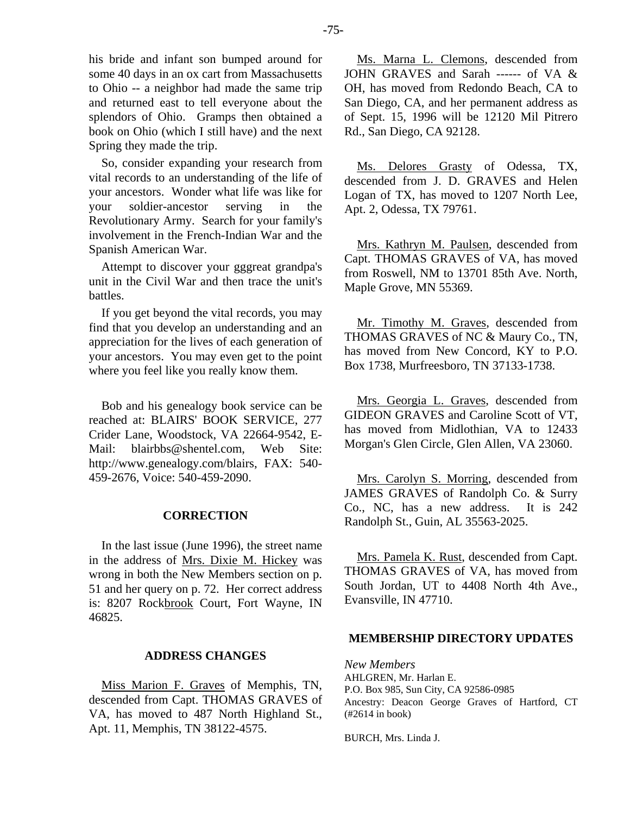his bride and infant son bumped around for some 40 days in an ox cart from Massachusetts to Ohio -- a neighbor had made the same trip and returned east to tell everyone about the splendors of Ohio. Gramps then obtained a book on Ohio (which I still have) and the next Spring they made the trip.

So, consider expanding your research from vital records to an understanding of the life of your ancestors. Wonder what life was like for your soldier-ancestor serving in the Revolutionary Army. Search for your family's involvement in the French-Indian War and the Spanish American War.

Attempt to discover your gggreat grandpa's unit in the Civil War and then trace the unit's battles.

If you get beyond the vital records, you may find that you develop an understanding and an appreciation for the lives of each generation of your ancestors. You may even get to the point where you feel like you really know them.

Bob and his genealogy book service can be reached at: BLAIRS' BOOK SERVICE, 277 Crider Lane, Woodstock, VA 22664-9542, E-Mail: blairbbs@shentel.com, Web Site: http://www.genealogy.com/blairs, FAX: 540- 459-2676, Voice: 540-459-2090.

#### **CORRECTION**

In the last issue (June 1996), the street name in the address of Mrs. Dixie M. Hickey was wrong in both the New Members section on p. 51 and her query on p. 72. Her correct address is: 8207 Rockbrook Court, Fort Wayne, IN 46825.

## **ADDRESS CHANGES**

Miss Marion F. Graves of Memphis, TN, descended from Capt. THOMAS GRAVES of VA, has moved to 487 North Highland St., Apt. 11, Memphis, TN 38122-4575.

Ms. Marna L. Clemons, descended from JOHN GRAVES and Sarah ------ of VA & OH, has moved from Redondo Beach, CA to San Diego, CA, and her permanent address as of Sept. 15, 1996 will be 12120 Mil Pitrero Rd., San Diego, CA 92128.

Ms. Delores Grasty of Odessa, TX, descended from J. D. GRAVES and Helen Logan of TX, has moved to 1207 North Lee, Apt. 2, Odessa, TX 79761.

Mrs. Kathryn M. Paulsen, descended from Capt. THOMAS GRAVES of VA, has moved from Roswell, NM to 13701 85th Ave. North, Maple Grove, MN 55369.

Mr. Timothy M. Graves, descended from THOMAS GRAVES of NC & Maury Co., TN, has moved from New Concord, KY to P.O. Box 1738, Murfreesboro, TN 37133-1738.

Mrs. Georgia L. Graves, descended from GIDEON GRAVES and Caroline Scott of VT, has moved from Midlothian, VA to 12433 Morgan's Glen Circle, Glen Allen, VA 23060.

Mrs. Carolyn S. Morring, descended from JAMES GRAVES of Randolph Co. & Surry Co., NC, has a new address. It is 242 Randolph St., Guin, AL 35563-2025.

Mrs. Pamela K. Rust, descended from Capt. THOMAS GRAVES of VA, has moved from South Jordan, UT to 4408 North 4th Ave., Evansville, IN 47710.

#### **MEMBERSHIP DIRECTORY UPDATES**

*New Members*  AHLGREN, Mr. Harlan E. P.O. Box 985, Sun City, CA 92586-0985 Ancestry: Deacon George Graves of Hartford, CT (#2614 in book)

BURCH, Mrs. Linda J.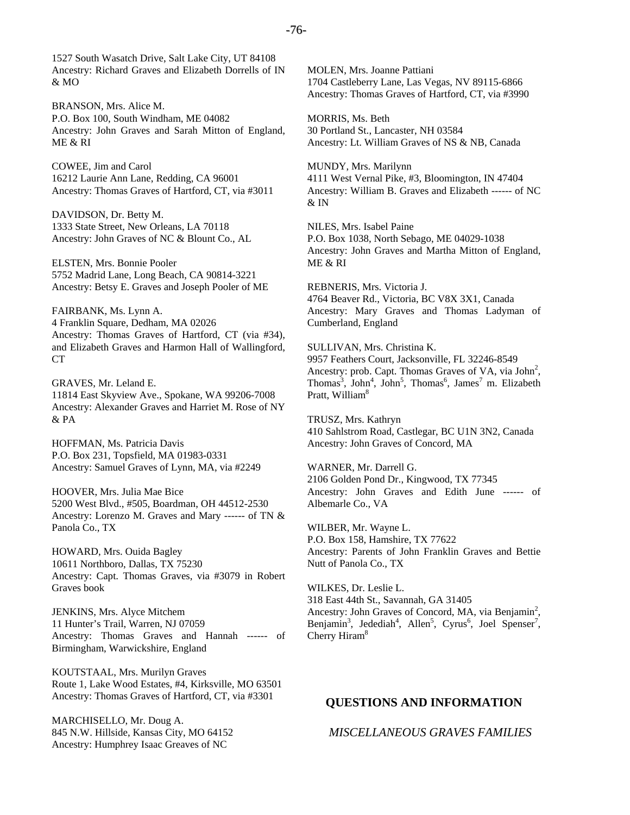1527 South Wasatch Drive, Salt Lake City, UT 84108 Ancestry: Richard Graves and Elizabeth Dorrells of IN  $& MO$ 

BRANSON, Mrs. Alice M. P.O. Box 100, South Windham, ME 04082 Ancestry: John Graves and Sarah Mitton of England, ME & RI

COWEE, Jim and Carol 16212 Laurie Ann Lane, Redding, CA 96001 Ancestry: Thomas Graves of Hartford, CT, via #3011

DAVIDSON, Dr. Betty M. 1333 State Street, New Orleans, LA 70118 Ancestry: John Graves of NC & Blount Co., AL

ELSTEN, Mrs. Bonnie Pooler 5752 Madrid Lane, Long Beach, CA 90814-3221 Ancestry: Betsy E. Graves and Joseph Pooler of ME

FAIRBANK, Ms. Lynn A. 4 Franklin Square, Dedham, MA 02026 Ancestry: Thomas Graves of Hartford, CT (via #34), and Elizabeth Graves and Harmon Hall of Wallingford, CT

GRAVES, Mr. Leland E. 11814 East Skyview Ave., Spokane, WA 99206-7008 Ancestry: Alexander Graves and Harriet M. Rose of NY & PA

HOFFMAN, Ms. Patricia Davis P.O. Box 231, Topsfield, MA 01983-0331 Ancestry: Samuel Graves of Lynn, MA, via #2249

HOOVER, Mrs. Julia Mae Bice 5200 West Blvd., #505, Boardman, OH 44512-2530 Ancestry: Lorenzo M. Graves and Mary ------ of TN & Panola Co., TX

HOWARD, Mrs. Ouida Bagley 10611 Northboro, Dallas, TX 75230 Ancestry: Capt. Thomas Graves, via #3079 in Robert Graves book

JENKINS, Mrs. Alyce Mitchem 11 Hunter's Trail, Warren, NJ 07059 Ancestry: Thomas Graves and Hannah ------ of Birmingham, Warwickshire, England

KOUTSTAAL, Mrs. Murilyn Graves Route 1, Lake Wood Estates, #4, Kirksville, MO 63501 Ancestry: Thomas Graves of Hartford, CT, via #3301

MARCHISELLO, Mr. Doug A. 845 N.W. Hillside, Kansas City, MO 64152 Ancestry: Humphrey Isaac Greaves of NC

MOLEN, Mrs. Joanne Pattiani 1704 Castleberry Lane, Las Vegas, NV 89115-6866 Ancestry: Thomas Graves of Hartford, CT, via #3990

MORRIS, Ms. Beth 30 Portland St., Lancaster, NH 03584 Ancestry: Lt. William Graves of NS & NB, Canada

MUNDY, Mrs. Marilynn 4111 West Vernal Pike, #3, Bloomington, IN 47404 Ancestry: William B. Graves and Elizabeth ------ of NC & IN

NILES, Mrs. Isabel Paine P.O. Box 1038, North Sebago, ME 04029-1038 Ancestry: John Graves and Martha Mitton of England, ME & RI

REBNERIS, Mrs. Victoria J. 4764 Beaver Rd., Victoria, BC V8X 3X1, Canada Ancestry: Mary Graves and Thomas Ladyman of Cumberland, England

SULLIVAN, Mrs. Christina K. 9957 Feathers Court, Jacksonville, FL 32246-8549 Ancestry: prob. Capt. Thomas Graves of VA, via  $John<sup>2</sup>$ , Thomas<sup>3</sup>, John<sup>4</sup>, John<sup>5</sup>, Thomas<sup>6</sup>, James<sup>7</sup> m. Elizabeth Pratt, William<sup>8</sup>

TRUSZ, Mrs. Kathryn 410 Sahlstrom Road, Castlegar, BC U1N 3N2, Canada Ancestry: John Graves of Concord, MA

WARNER, Mr. Darrell G. 2106 Golden Pond Dr., Kingwood, TX 77345 Ancestry: John Graves and Edith June ------ of Albemarle Co., VA

WILBER, Mr. Wayne L. P.O. Box 158, Hamshire, TX 77622 Ancestry: Parents of John Franklin Graves and Bettie Nutt of Panola Co., TX

WILKES, Dr. Leslie L. 318 East 44th St., Savannah, GA 31405 Ancestry: John Graves of Concord, MA, via Benjamin<sup>2</sup>, Benjamin<sup>3</sup>, Jedediah<sup>4</sup>, Allen<sup>5</sup>, Cyrus<sup>6</sup>, Joel Spenser<sup>7</sup>, Cherry Hiram<sup>8</sup>

#### **QUESTIONS AND INFORMATION**

*MISCELLANEOUS GRAVES FAMILIES*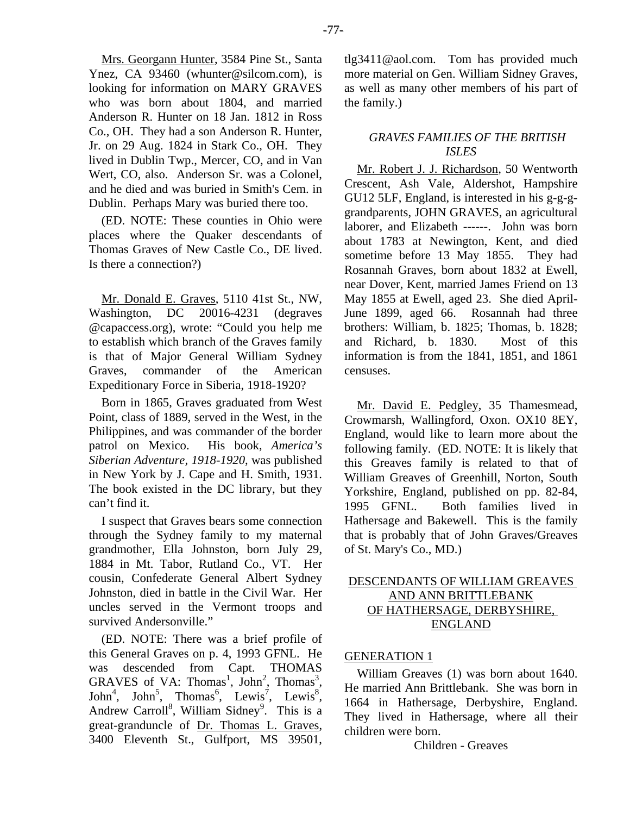Mrs. Georgann Hunter, 3584 Pine St., Santa Ynez, CA 93460 (whunter@silcom.com), is looking for information on MARY GRAVES who was born about 1804, and married Anderson R. Hunter on 18 Jan. 1812 in Ross Co., OH. They had a son Anderson R. Hunter, Jr. on 29 Aug. 1824 in Stark Co., OH. They lived in Dublin Twp., Mercer, CO, and in Van Wert, CO, also. Anderson Sr. was a Colonel, and he died and was buried in Smith's Cem. in Dublin. Perhaps Mary was buried there too.

(ED. NOTE: These counties in Ohio were places where the Quaker descendants of Thomas Graves of New Castle Co., DE lived. Is there a connection?)

Mr. Donald E. Graves, 5110 41st St., NW, Washington, DC 20016-4231 (degraves @capaccess.org), wrote: "Could you help me to establish which branch of the Graves family is that of Major General William Sydney Graves, commander of the American Expeditionary Force in Siberia, 1918-1920?

Born in 1865, Graves graduated from West Point, class of 1889, served in the West, in the Philippines, and was commander of the border patrol on Mexico. His book, *America's Siberian Adventure, 1918-1920*, was published in New York by J. Cape and H. Smith, 1931. The book existed in the DC library, but they can't find it.

I suspect that Graves bears some connection through the Sydney family to my maternal grandmother, Ella Johnston, born July 29, 1884 in Mt. Tabor, Rutland Co., VT. Her cousin, Confederate General Albert Sydney Johnston, died in battle in the Civil War. Her uncles served in the Vermont troops and survived Andersonville."

(ED. NOTE: There was a brief profile of this General Graves on p. 4, 1993 GFNL. He was descended from Capt. THOMAS GRAVES of VA: Thomas<sup>1</sup>, John<sup>2</sup>, Thomas<sup>3</sup>,  $John<sup>4</sup>$ ,  $John<sup>5</sup>$ , Thomas<sup>6</sup>, Lewis<sup>7</sup>, Lewis<sup>8</sup>, Andrew Carroll<sup>8</sup>, William Sidney<sup>9</sup>. This is a great-granduncle of Dr. Thomas L. Graves, 3400 Eleventh St., Gulfport, MS 39501,

tlg3411@aol.com. Tom has provided much more material on Gen. William Sidney Graves, as well as many other members of his part of the family.)

# *GRAVES FAMILIES OF THE BRITISH ISLES*

Mr. Robert J. J. Richardson, 50 Wentworth Crescent, Ash Vale, Aldershot, Hampshire GU12 5LF, England, is interested in his g-g-ggrandparents, JOHN GRAVES, an agricultural laborer, and Elizabeth ------. John was born about 1783 at Newington, Kent, and died sometime before 13 May 1855. They had Rosannah Graves, born about 1832 at Ewell, near Dover, Kent, married James Friend on 13 May 1855 at Ewell, aged 23. She died April-June 1899, aged 66. Rosannah had three brothers: William, b. 1825; Thomas, b. 1828; and Richard, b. 1830. Most of this information is from the 1841, 1851, and 1861 censuses.

Mr. David E. Pedgley, 35 Thamesmead, Crowmarsh, Wallingford, Oxon. OX10 8EY, England, would like to learn more about the following family. (ED. NOTE: It is likely that this Greaves family is related to that of William Greaves of Greenhill, Norton, South Yorkshire, England, published on pp. 82-84, 1995 GFNL. Both families lived in Hathersage and Bakewell. This is the family that is probably that of John Graves/Greaves of St. Mary's Co., MD.)

# DESCENDANTS OF WILLIAM GREAVES AND ANN BRITTLEBANK OF HATHERSAGE, DERBYSHIRE, ENGLAND

# GENERATION 1

William Greaves (1) was born about 1640. He married Ann Brittlebank. She was born in 1664 in Hathersage, Derbyshire, England. They lived in Hathersage, where all their children were born.

Children - Greaves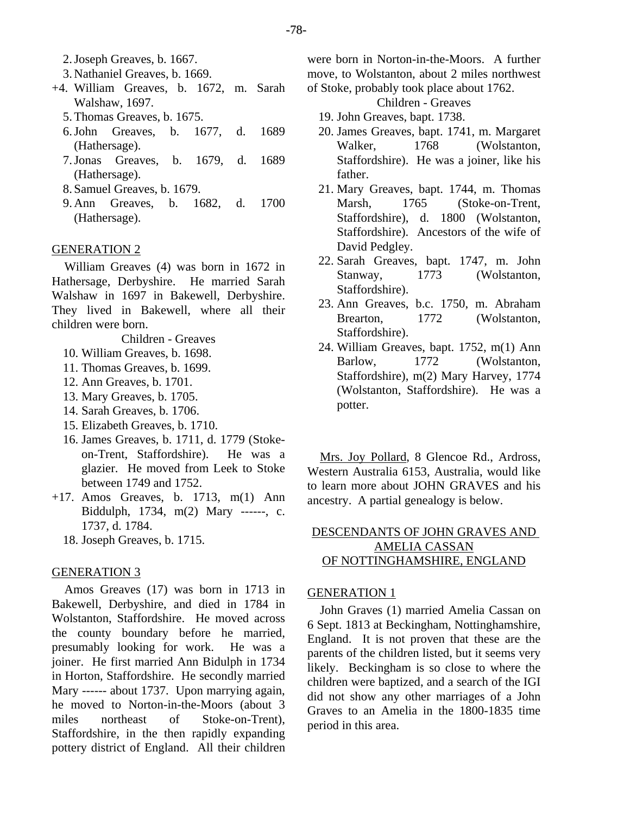- 2. Joseph Greaves, b. 1667.
- 3. Nathaniel Greaves, b. 1669.
- +4. William Greaves, b. 1672, m. Sarah Walshaw, 1697.
	- 5. Thomas Greaves, b. 1675.
	- 6. John Greaves, b. 1677, d. 1689 (Hathersage).
	- 7. Jonas Greaves, b. 1679, d. 1689 (Hathersage).
	- 8. Samuel Greaves, b. 1679.
	- 9. Ann Greaves, b. 1682, d. 1700 (Hathersage).

## GENERATION 2

William Greaves (4) was born in 1672 in Hathersage, Derbyshire. He married Sarah Walshaw in 1697 in Bakewell, Derbyshire. They lived in Bakewell, where all their children were born.

Children - Greaves

- 10. William Greaves, b. 1698.
- 11. Thomas Greaves, b. 1699.
- 12. Ann Greaves, b. 1701.
- 13. Mary Greaves, b. 1705.
- 14. Sarah Greaves, b. 1706.
- 15. Elizabeth Greaves, b. 1710.
- 16. James Greaves, b. 1711, d. 1779 (Stokeon-Trent, Staffordshire). He was a glazier. He moved from Leek to Stoke between 1749 and 1752.
- +17. Amos Greaves, b. 1713, m(1) Ann Biddulph, 1734, m(2) Mary ------, c. 1737, d. 1784.
	- 18. Joseph Greaves, b. 1715.

#### GENERATION 3

Amos Greaves (17) was born in 1713 in Bakewell, Derbyshire, and died in 1784 in Wolstanton, Staffordshire. He moved across the county boundary before he married, presumably looking for work. He was a joiner. He first married Ann Bidulph in 1734 in Horton, Staffordshire. He secondly married Mary ------ about 1737. Upon marrying again, he moved to Norton-in-the-Moors (about 3 miles northeast of Stoke-on-Trent), Staffordshire, in the then rapidly expanding pottery district of England. All their children were born in Norton-in-the-Moors. A further move, to Wolstanton, about 2 miles northwest of Stoke, probably took place about 1762.

- Children Greaves
- 19. John Greaves, bapt. 1738.
- 20. James Greaves, bapt. 1741, m. Margaret Walker, 1768 (Wolstanton, Staffordshire). He was a joiner, like his father.
- 21. Mary Greaves, bapt. 1744, m. Thomas Marsh, 1765 (Stoke-on-Trent, Staffordshire), d. 1800 (Wolstanton, Staffordshire). Ancestors of the wife of David Pedgley.
- 22. Sarah Greaves, bapt. 1747, m. John Stanway, 1773 (Wolstanton, Staffordshire).
- 23. Ann Greaves, b.c. 1750, m. Abraham Brearton, 1772 (Wolstanton, Staffordshire).
- 24. William Greaves, bapt. 1752, m(1) Ann Barlow, 1772 (Wolstanton, Staffordshire), m(2) Mary Harvey, 1774 (Wolstanton, Staffordshire). He was a potter.

Mrs. Joy Pollard, 8 Glencoe Rd., Ardross, Western Australia 6153, Australia, would like to learn more about JOHN GRAVES and his ancestry. A partial genealogy is below.

# DESCENDANTS OF JOHN GRAVES AND AMELIA CASSAN OF NOTTINGHAMSHIRE, ENGLAND

#### GENERATION 1

John Graves (1) married Amelia Cassan on 6 Sept. 1813 at Beckingham, Nottinghamshire, England. It is not proven that these are the parents of the children listed, but it seems very likely. Beckingham is so close to where the children were baptized, and a search of the IGI did not show any other marriages of a John Graves to an Amelia in the 1800-1835 time period in this area.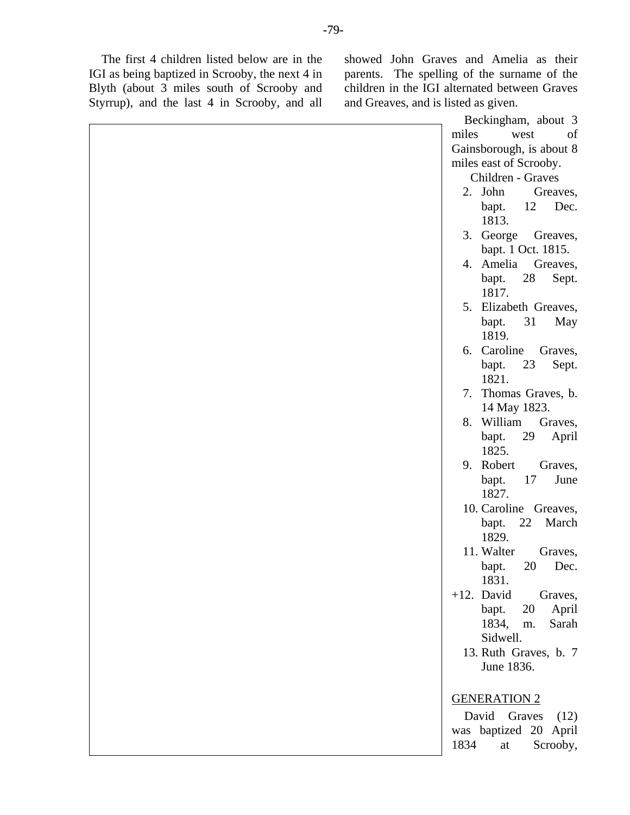The first 4 children listed below are in the IGI as being baptized in Scrooby, the next 4 in Blyth (about 3 miles south of Scrooby and Styrrup), and the last 4 in Scrooby, and all showed John Graves and Amelia as their parents. The spelling of the surname of the children in the IGI alternated between Graves and Greaves, and is listed as given.

| Beckingham, about 3           |
|-------------------------------|
| miles<br>west<br>of           |
| Gainsborough, is about 8      |
| miles east of Scrooby.        |
| Children - Graves             |
| 2. John<br>Greaves,           |
| 12<br>bapt.<br>Dec.           |
| 1813.                         |
| 3. George Greaves,            |
| bapt. 1 Oct. 1815.            |
| 4. Amelia<br>Greaves,         |
| 28<br>bapt.<br>Sept.<br>1817. |
| Elizabeth Greaves,<br>5.      |
| bapt.<br>31<br>May            |
| 1819.                         |
| 6. Caroline<br>Graves,        |
| 23<br>Sept.<br>bapt.          |
| 1821.                         |
| Thomas Graves, b.<br>7.       |
| 14 May 1823.                  |
| 8. William<br>Graves,         |
| 29<br>April<br>bapt.<br>1825. |
| 9. Robert<br>Graves,          |
| 17<br>June<br>bapt.<br>1827.  |
| 10. Caroline Greaves,         |
| 22<br>March<br>bapt.          |
| 1829.                         |
| 11. Walter<br>Graves,         |
| 20<br>Dec.<br>bapt.           |
| 1831.                         |
| $+12.$ David<br>Graves,       |
| bapt.<br>April<br>20          |
| 1834, m.<br>Sarah             |
| Sidwell.                      |
| 13. Ruth Graves, b. 7         |
| June 1836.                    |
| <b>GENERATION 2</b>           |
| David Graves<br>(12)          |
| was baptized 20 April         |
| 1834<br>Scrooby,<br>at        |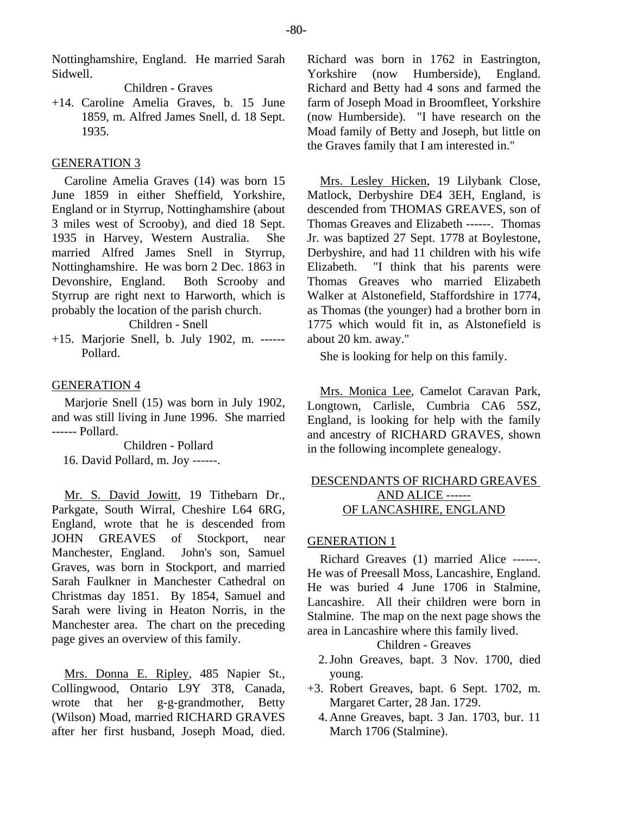Nottinghamshire, England. He married Sarah Sidwell.

Children - Graves

+14. Caroline Amelia Graves, b. 15 June 1859, m. Alfred James Snell, d. 18 Sept. 1935.

# GENERATION 3

Caroline Amelia Graves (14) was born 15 June 1859 in either Sheffield, Yorkshire, England or in Styrrup, Nottinghamshire (about 3 miles west of Scrooby), and died 18 Sept. 1935 in Harvey, Western Australia. She married Alfred James Snell in Styrrup, Nottinghamshire. He was born 2 Dec. 1863 in Devonshire, England. Both Scrooby and Styrrup are right next to Harworth, which is probably the location of the parish church.

Children - Snell

+15. Marjorie Snell, b. July 1902, m. ------ Pollard.

# GENERATION 4

Marjorie Snell (15) was born in July 1902, and was still living in June 1996. She married ------ Pollard.

Children - Pollard 16. David Pollard, m. Joy ------.

Mr. S. David Jowitt, 19 Tithebarn Dr., Parkgate, South Wirral, Cheshire L64 6RG, England, wrote that he is descended from JOHN GREAVES of Stockport, near Manchester, England. John's son, Samuel Graves, was born in Stockport, and married Sarah Faulkner in Manchester Cathedral on Christmas day 1851. By 1854, Samuel and Sarah were living in Heaton Norris, in the Manchester area. The chart on the preceding page gives an overview of this family.

Mrs. Donna E. Ripley, 485 Napier St., Collingwood, Ontario L9Y 3T8, Canada, wrote that her g-g-grandmother, Betty (Wilson) Moad, married RICHARD GRAVES after her first husband, Joseph Moad, died. Richard was born in 1762 in Eastrington, Yorkshire (now Humberside), England. Richard and Betty had 4 sons and farmed the farm of Joseph Moad in Broomfleet, Yorkshire (now Humberside). "I have research on the Moad family of Betty and Joseph, but little on the Graves family that I am interested in."

Mrs. Lesley Hicken, 19 Lilybank Close, Matlock, Derbyshire DE4 3EH, England, is descended from THOMAS GREAVES, son of Thomas Greaves and Elizabeth ------. Thomas Jr. was baptized 27 Sept. 1778 at Boylestone, Derbyshire, and had 11 children with his wife Elizabeth. "I think that his parents were Thomas Greaves who married Elizabeth Walker at Alstonefield, Staffordshire in 1774, as Thomas (the younger) had a brother born in 1775 which would fit in, as Alstonefield is about 20 km. away."

She is looking for help on this family.

Mrs. Monica Lee, Camelot Caravan Park, Longtown, Carlisle, Cumbria CA6 5SZ, England, is looking for help with the family and ancestry of RICHARD GRAVES, shown in the following incomplete genealogy.

# DESCENDANTS OF RICHARD GREAVES AND ALICE ------ OF LANCASHIRE, ENGLAND

# GENERATION 1

Richard Greaves (1) married Alice ------. He was of Preesall Moss, Lancashire, England. He was buried 4 June 1706 in Stalmine, Lancashire. All their children were born in Stalmine. The map on the next page shows the area in Lancashire where this family lived.

Children - Greaves

- 2. John Greaves, bapt. 3 Nov. 1700, died young.
- +3. Robert Greaves, bapt. 6 Sept. 1702, m. Margaret Carter, 28 Jan. 1729.
	- 4. Anne Greaves, bapt. 3 Jan. 1703, bur. 11 March 1706 (Stalmine).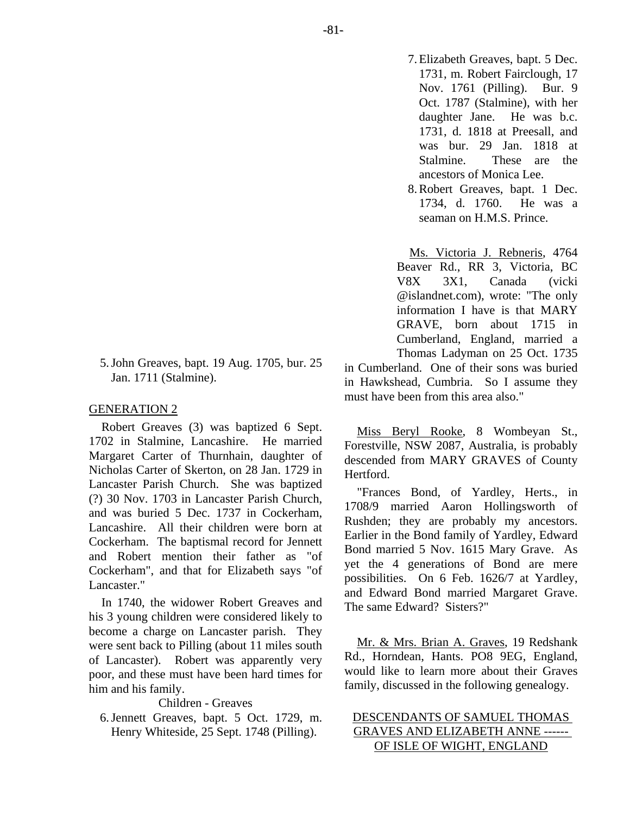5. John Greaves, bapt. 19 Aug. 1705, bur. 25 Jan. 1711 (Stalmine).

# GENERATION 2

Robert Greaves (3) was baptized 6 Sept. 1702 in Stalmine, Lancashire. He married Margaret Carter of Thurnhain, daughter of Nicholas Carter of Skerton, on 28 Jan. 1729 in Lancaster Parish Church. She was baptized (?) 30 Nov. 1703 in Lancaster Parish Church, and was buried 5 Dec. 1737 in Cockerham, Lancashire. All their children were born at Cockerham. The baptismal record for Jennett and Robert mention their father as "of Cockerham", and that for Elizabeth says "of Lancaster."

In 1740, the widower Robert Greaves and his 3 young children were considered likely to become a charge on Lancaster parish. They were sent back to Pilling (about 11 miles south of Lancaster). Robert was apparently very poor, and these must have been hard times for him and his family.

# Children - Greaves

 6. Jennett Greaves, bapt. 5 Oct. 1729, m. Henry Whiteside, 25 Sept. 1748 (Pilling).

- 7. Elizabeth Greaves, bapt. 5 Dec. 1731, m. Robert Fairclough, 17 Nov. 1761 (Pilling). Bur. 9 Oct. 1787 (Stalmine), with her daughter Jane. He was b.c. 1731, d. 1818 at Preesall, and was bur. 29 Jan. 1818 at Stalmine. These are the ancestors of Monica Lee.
- 8. Robert Greaves, bapt. 1 Dec. 1734, d. 1760. He was a seaman on H.M.S. Prince.

Ms. Victoria J. Rebneris, 4764 Beaver Rd., RR 3, Victoria, BC V8X 3X1, Canada (vicki @islandnet.com), wrote: "The only information I have is that MARY GRAVE, born about 1715 in Cumberland, England, married a Thomas Ladyman on 25 Oct. 1735

in Cumberland. One of their sons was buried in Hawkshead, Cumbria. So I assume they must have been from this area also."

Miss Beryl Rooke, 8 Wombeyan St., Forestville, NSW 2087, Australia, is probably descended from MARY GRAVES of County Hertford.

"Frances Bond, of Yardley, Herts., in 1708/9 married Aaron Hollingsworth of Rushden; they are probably my ancestors. Earlier in the Bond family of Yardley, Edward Bond married 5 Nov. 1615 Mary Grave. As yet the 4 generations of Bond are mere possibilities. On 6 Feb. 1626/7 at Yardley, and Edward Bond married Margaret Grave. The same Edward? Sisters?"

Mr. & Mrs. Brian A. Graves, 19 Redshank Rd., Horndean, Hants. PO8 9EG, England, would like to learn more about their Graves family, discussed in the following genealogy.

DESCENDANTS OF SAMUEL THOMAS GRAVES AND ELIZABETH ANNE ------ OF ISLE OF WIGHT, ENGLAND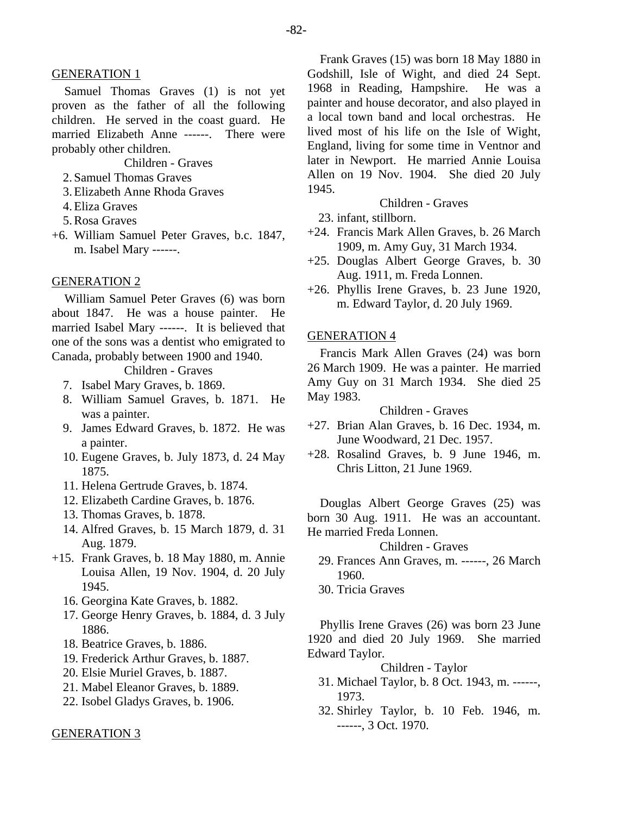# GENERATION 1

Samuel Thomas Graves (1) is not yet proven as the father of all the following children. He served in the coast guard. He married Elizabeth Anne ------. There were probably other children.

Children - Graves

- 2. Samuel Thomas Graves
- 3. Elizabeth Anne Rhoda Graves
- 4. Eliza Graves
- 5. Rosa Graves
- +6. William Samuel Peter Graves, b.c. 1847, m. Isabel Mary ------.

## GENERATION 2

William Samuel Peter Graves (6) was born about 1847. He was a house painter. He married Isabel Mary ------. It is believed that one of the sons was a dentist who emigrated to Canada, probably between 1900 and 1940.

Children - Graves

- 7. Isabel Mary Graves, b. 1869.
- 8. William Samuel Graves, b. 1871. He was a painter.
- 9. James Edward Graves, b. 1872. He was a painter.
- 10. Eugene Graves, b. July 1873, d. 24 May 1875.
- 11. Helena Gertrude Graves, b. 1874.
- 12. Elizabeth Cardine Graves, b. 1876.
- 13. Thomas Graves, b. 1878.
- 14. Alfred Graves, b. 15 March 1879, d. 31 Aug. 1879.
- +15. Frank Graves, b. 18 May 1880, m. Annie Louisa Allen, 19 Nov. 1904, d. 20 July 1945.
	- 16. Georgina Kate Graves, b. 1882.
	- 17. George Henry Graves, b. 1884, d. 3 July 1886.
	- 18. Beatrice Graves, b. 1886.
	- 19. Frederick Arthur Graves, b. 1887.
	- 20. Elsie Muriel Graves, b. 1887.
	- 21. Mabel Eleanor Graves, b. 1889.
	- 22. Isobel Gladys Graves, b. 1906.

#### GENERATION 3

Frank Graves (15) was born 18 May 1880 in Godshill, Isle of Wight, and died 24 Sept. 1968 in Reading, Hampshire. He was a painter and house decorator, and also played in a local town band and local orchestras. He lived most of his life on the Isle of Wight, England, living for some time in Ventnor and later in Newport. He married Annie Louisa Allen on 19 Nov. 1904. She died 20 July 1945.

Children - Graves

- 23. infant, stillborn.
- +24. Francis Mark Allen Graves, b. 26 March 1909, m. Amy Guy, 31 March 1934.
- +25. Douglas Albert George Graves, b. 30 Aug. 1911, m. Freda Lonnen.
- +26. Phyllis Irene Graves, b. 23 June 1920, m. Edward Taylor, d. 20 July 1969.

## GENERATION 4

Francis Mark Allen Graves (24) was born 26 March 1909. He was a painter. He married Amy Guy on 31 March 1934. She died 25 May 1983.

## Children - Graves

- +27. Brian Alan Graves, b. 16 Dec. 1934, m. June Woodward, 21 Dec. 1957.
- +28. Rosalind Graves, b. 9 June 1946, m. Chris Litton, 21 June 1969.

Douglas Albert George Graves (25) was born 30 Aug. 1911. He was an accountant. He married Freda Lonnen.

#### Children - Graves

- 29. Frances Ann Graves, m. ------, 26 March 1960.
- 30. Tricia Graves

Phyllis Irene Graves (26) was born 23 June 1920 and died 20 July 1969. She married Edward Taylor.

## Children - Taylor

- 31. Michael Taylor, b. 8 Oct. 1943, m. ------, 1973.
- 32. Shirley Taylor, b. 10 Feb. 1946, m. ------, 3 Oct. 1970.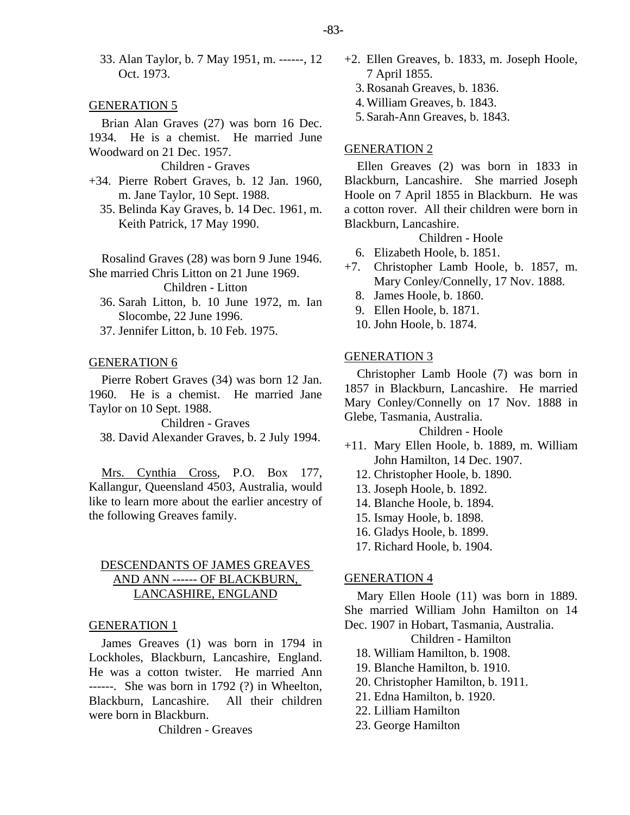-83-

 33. Alan Taylor, b. 7 May 1951, m. ------, 12 Oct. 1973.

#### GENERATION 5

Brian Alan Graves (27) was born 16 Dec. 1934. He is a chemist. He married June Woodward on 21 Dec. 1957.

Children - Graves

- +34. Pierre Robert Graves, b. 12 Jan. 1960, m. Jane Taylor, 10 Sept. 1988.
	- 35. Belinda Kay Graves, b. 14 Dec. 1961, m. Keith Patrick, 17 May 1990.

Rosalind Graves (28) was born 9 June 1946. She married Chris Litton on 21 June 1969.

Children - Litton

- 36. Sarah Litton, b. 10 June 1972, m. Ian Slocombe, 22 June 1996.
- 37. Jennifer Litton, b. 10 Feb. 1975.

## GENERATION 6

Pierre Robert Graves (34) was born 12 Jan. 1960. He is a chemist. He married Jane Taylor on 10 Sept. 1988.

Children - Graves 38. David Alexander Graves, b. 2 July 1994.

Mrs. Cynthia Cross, P.O. Box 177, Kallangur, Queensland 4503, Australia, would like to learn more about the earlier ancestry of the following Greaves family.

# DESCENDANTS OF JAMES GREAVES AND ANN ------ OF BLACKBURN, LANCASHIRE, ENGLAND

## GENERATION 1

James Greaves (1) was born in 1794 in Lockholes, Blackburn, Lancashire, England. He was a cotton twister. He married Ann ------. She was born in 1792 (?) in Wheelton, Blackburn, Lancashire. All their children were born in Blackburn.

Children - Greaves

- +2. Ellen Greaves, b. 1833, m. Joseph Hoole, 7 April 1855.
	- 3. Rosanah Greaves, b. 1836.
	- 4. William Greaves, b. 1843.
	- 5. Sarah-Ann Greaves, b. 1843.

## GENERATION 2

Ellen Greaves (2) was born in 1833 in Blackburn, Lancashire. She married Joseph Hoole on 7 April 1855 in Blackburn. He was a cotton rover. All their children were born in Blackburn, Lancashire.

Children - Hoole

6. Elizabeth Hoole, b. 1851.

- +7. Christopher Lamb Hoole, b. 1857, m. Mary Conley/Connelly, 17 Nov. 1888.
	- 8. James Hoole, b. 1860.
	- 9. Ellen Hoole, b. 1871.
	- 10. John Hoole, b. 1874.

## GENERATION 3

Christopher Lamb Hoole (7) was born in 1857 in Blackburn, Lancashire. He married Mary Conley/Connelly on 17 Nov. 1888 in Glebe, Tasmania, Australia.

# Children - Hoole

- +11. Mary Ellen Hoole, b. 1889, m. William John Hamilton, 14 Dec. 1907.
	- 12. Christopher Hoole, b. 1890.
	- 13. Joseph Hoole, b. 1892.
	- 14. Blanche Hoole, b. 1894.
	- 15. Ismay Hoole, b. 1898.
	- 16. Gladys Hoole, b. 1899.
	- 17. Richard Hoole, b. 1904.

#### GENERATION 4

Mary Ellen Hoole (11) was born in 1889. She married William John Hamilton on 14

Dec. 1907 in Hobart, Tasmania, Australia.

Children - Hamilton

- 18. William Hamilton, b. 1908.
- 19. Blanche Hamilton, b. 1910.
- 20. Christopher Hamilton, b. 1911.
- 21. Edna Hamilton, b. 1920.
- 22. Lilliam Hamilton
- 23. George Hamilton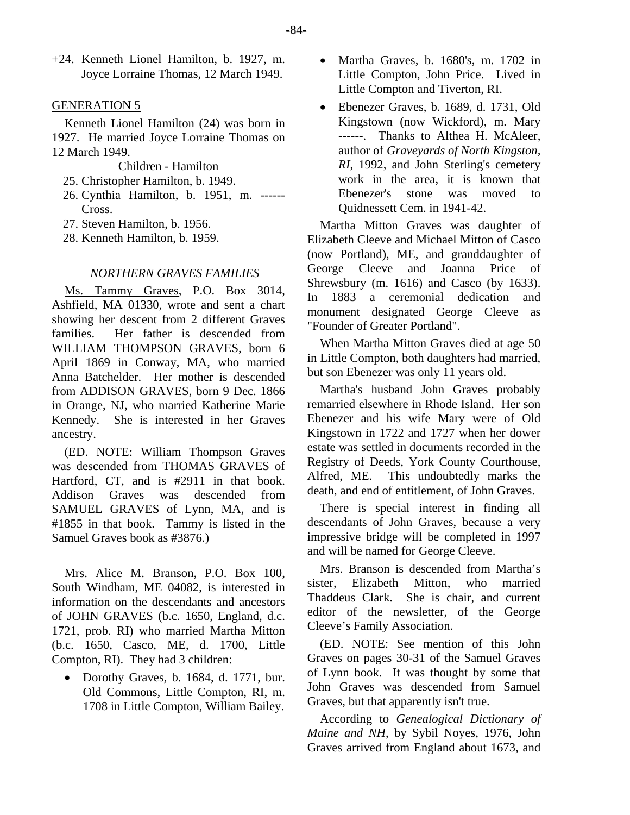+24. Kenneth Lionel Hamilton, b. 1927, m. Joyce Lorraine Thomas, 12 March 1949.

## GENERATION 5

Kenneth Lionel Hamilton (24) was born in 1927. He married Joyce Lorraine Thomas on 12 March 1949.

Children - Hamilton

- 25. Christopher Hamilton, b. 1949.
- 26. Cynthia Hamilton, b. 1951, m. ------ Cross.
- 27. Steven Hamilton, b. 1956.
- 28. Kenneth Hamilton, b. 1959.

# *NORTHERN GRAVES FAMILIES*

Ms. Tammy Graves, P.O. Box 3014, Ashfield, MA 01330, wrote and sent a chart showing her descent from 2 different Graves families. Her father is descended from WILLIAM THOMPSON GRAVES, born 6 April 1869 in Conway, MA, who married Anna Batchelder. Her mother is descended from ADDISON GRAVES, born 9 Dec. 1866 in Orange, NJ, who married Katherine Marie Kennedy. She is interested in her Graves ancestry.

(ED. NOTE: William Thompson Graves was descended from THOMAS GRAVES of Hartford, CT, and is #2911 in that book. Addison Graves was descended from SAMUEL GRAVES of Lynn, MA, and is #1855 in that book. Tammy is listed in the Samuel Graves book as #3876.)

Mrs. Alice M. Branson, P.O. Box 100, South Windham, ME 04082, is interested in information on the descendants and ancestors of JOHN GRAVES (b.c. 1650, England, d.c. 1721, prob. RI) who married Martha Mitton (b.c. 1650, Casco, ME, d. 1700, Little Compton, RI). They had 3 children:

• Dorothy Graves, b. 1684, d. 1771, bur. Old Commons, Little Compton, RI, m. 1708 in Little Compton, William Bailey.

- Martha Graves, b. 1680's, m. 1702 in Little Compton, John Price. Lived in Little Compton and Tiverton, RI.
- Ebenezer Graves, b. 1689, d. 1731, Old Kingstown (now Wickford), m. Mary ------. Thanks to Althea H. McAleer, author of *Graveyards of North Kingston, RI*, 1992, and John Sterling's cemetery work in the area, it is known that Ebenezer's stone was moved to Quidnessett Cem. in 1941-42.

Martha Mitton Graves was daughter of Elizabeth Cleeve and Michael Mitton of Casco (now Portland), ME, and granddaughter of George Cleeve and Joanna Price of Shrewsbury (m. 1616) and Casco (by 1633). In 1883 a ceremonial dedication and monument designated George Cleeve as "Founder of Greater Portland".

When Martha Mitton Graves died at age 50 in Little Compton, both daughters had married, but son Ebenezer was only 11 years old.

Martha's husband John Graves probably remarried elsewhere in Rhode Island. Her son Ebenezer and his wife Mary were of Old Kingstown in 1722 and 1727 when her dower estate was settled in documents recorded in the Registry of Deeds, York County Courthouse, Alfred, ME. This undoubtedly marks the death, and end of entitlement, of John Graves.

There is special interest in finding all descendants of John Graves, because a very impressive bridge will be completed in 1997 and will be named for George Cleeve.

Mrs. Branson is descended from Martha's sister, Elizabeth Mitton, who married Thaddeus Clark. She is chair, and current editor of the newsletter, of the George Cleeve's Family Association.

(ED. NOTE: See mention of this John Graves on pages 30-31 of the Samuel Graves of Lynn book. It was thought by some that John Graves was descended from Samuel Graves, but that apparently isn't true.

According to *Genealogical Dictionary of Maine and NH*, by Sybil Noyes, 1976, John Graves arrived from England about 1673, and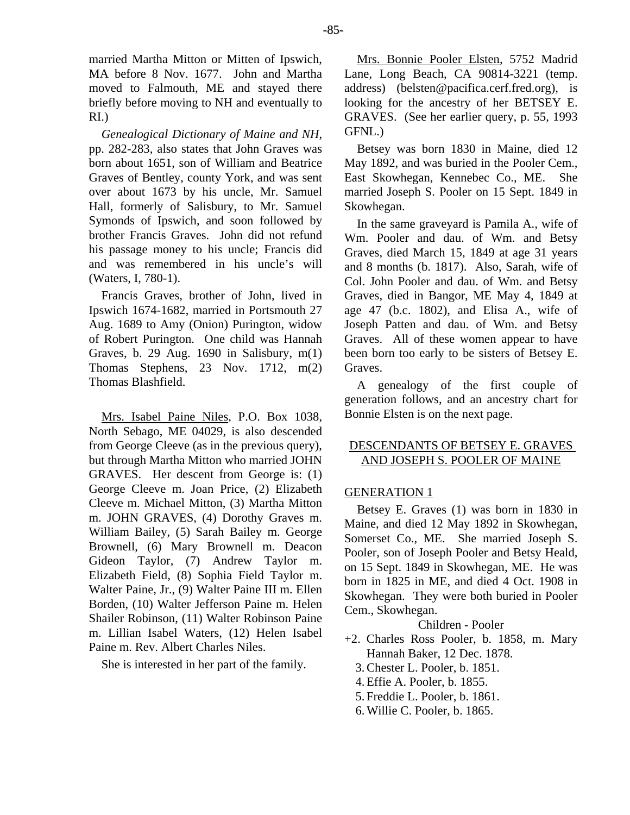married Martha Mitton or Mitten of Ipswich, MA before 8 Nov. 1677. John and Martha moved to Falmouth, ME and stayed there briefly before moving to NH and eventually to RI.)

*Genealogical Dictionary of Maine and NH*, pp. 282-283, also states that John Graves was born about 1651, son of William and Beatrice Graves of Bentley, county York, and was sent over about 1673 by his uncle, Mr. Samuel Hall, formerly of Salisbury, to Mr. Samuel Symonds of Ipswich, and soon followed by brother Francis Graves. John did not refund his passage money to his uncle; Francis did and was remembered in his uncle's will (Waters, I, 780-1).

Francis Graves, brother of John, lived in Ipswich 1674-1682, married in Portsmouth 27 Aug. 1689 to Amy (Onion) Purington, widow of Robert Purington. One child was Hannah Graves, b. 29 Aug. 1690 in Salisbury, m(1) Thomas Stephens, 23 Nov. 1712, m(2) Thomas Blashfield.

Mrs. Isabel Paine Niles, P.O. Box 1038, North Sebago, ME 04029, is also descended from George Cleeve (as in the previous query), but through Martha Mitton who married JOHN GRAVES. Her descent from George is: (1) George Cleeve m. Joan Price, (2) Elizabeth Cleeve m. Michael Mitton, (3) Martha Mitton m. JOHN GRAVES, (4) Dorothy Graves m. William Bailey, (5) Sarah Bailey m. George Brownell, (6) Mary Brownell m. Deacon Gideon Taylor, (7) Andrew Taylor m. Elizabeth Field, (8) Sophia Field Taylor m. Walter Paine, Jr., (9) Walter Paine III m. Ellen Borden, (10) Walter Jefferson Paine m. Helen Shailer Robinson, (11) Walter Robinson Paine m. Lillian Isabel Waters, (12) Helen Isabel Paine m. Rev. Albert Charles Niles.

She is interested in her part of the family.

Mrs. Bonnie Pooler Elsten, 5752 Madrid Lane, Long Beach, CA 90814-3221 (temp. address) (belsten@pacifica.cerf.fred.org), is looking for the ancestry of her BETSEY E. GRAVES. (See her earlier query, p. 55, 1993 GFNL.)

Betsey was born 1830 in Maine, died 12 May 1892, and was buried in the Pooler Cem., East Skowhegan, Kennebec Co., ME. She married Joseph S. Pooler on 15 Sept. 1849 in Skowhegan.

In the same graveyard is Pamila A., wife of Wm. Pooler and dau. of Wm. and Betsy Graves, died March 15, 1849 at age 31 years and 8 months (b. 1817). Also, Sarah, wife of Col. John Pooler and dau. of Wm. and Betsy Graves, died in Bangor, ME May 4, 1849 at age 47 (b.c. 1802), and Elisa A., wife of Joseph Patten and dau. of Wm. and Betsy Graves. All of these women appear to have been born too early to be sisters of Betsey E. Graves.

A genealogy of the first couple of generation follows, and an ancestry chart for Bonnie Elsten is on the next page.

# DESCENDANTS OF BETSEY E. GRAVES AND JOSEPH S. POOLER OF MAINE

## GENERATION 1

Betsey E. Graves (1) was born in 1830 in Maine, and died 12 May 1892 in Skowhegan, Somerset Co., ME. She married Joseph S. Pooler, son of Joseph Pooler and Betsy Heald, on 15 Sept. 1849 in Skowhegan, ME. He was born in 1825 in ME, and died 4 Oct. 1908 in Skowhegan. They were both buried in Pooler Cem., Skowhegan.

Children - Pooler

- +2. Charles Ross Pooler, b. 1858, m. Mary Hannah Baker, 12 Dec. 1878.
	- 3. Chester L. Pooler, b. 1851.
	- 4. Effie A. Pooler, b. 1855.
	- 5. Freddie L. Pooler, b. 1861.
	- 6. Willie C. Pooler, b. 1865.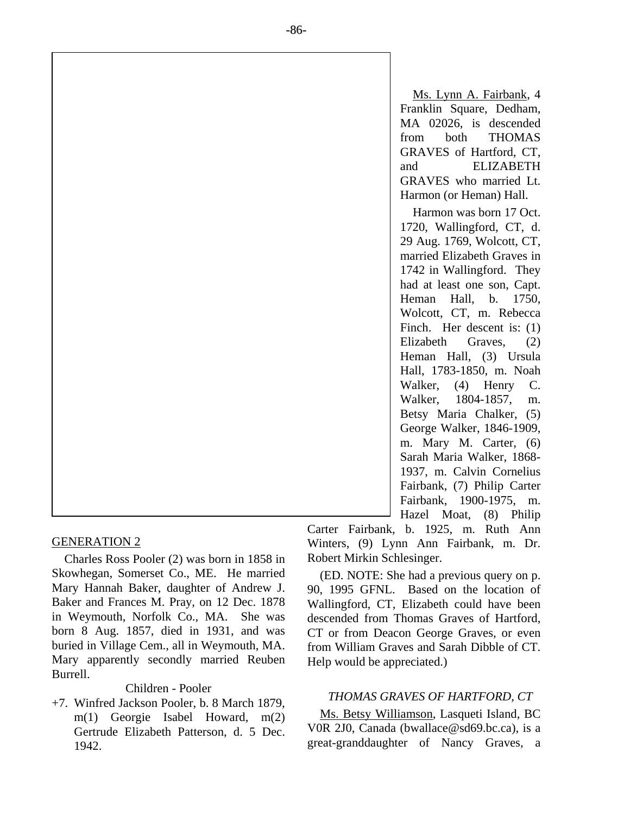#### GENERATION 2

Charles Ross Pooler (2) was born in 1858 in Skowhegan, Somerset Co., ME. He married Mary Hannah Baker, daughter of Andrew J. Baker and Frances M. Pray, on 12 Dec. 1878 in Weymouth, Norfolk Co., MA. She was born 8 Aug. 1857, died in 1931, and was buried in Village Cem., all in Weymouth, MA. Mary apparently secondly married Reuben Burrell.

## Children - Pooler

+7. Winfred Jackson Pooler, b. 8 March 1879, m(1) Georgie Isabel Howard, m(2) Gertrude Elizabeth Patterson, d. 5 Dec. 1942.

Ms. Lynn A. Fairbank, 4 Franklin Square, Dedham, MA 02026, is descended from both THOMAS GRAVES of Hartford, CT, and ELIZABETH GRAVES who married Lt. Harmon (or Heman) Hall.

Harmon was born 17 Oct. 1720, Wallingford, CT, d. 29 Aug. 1769, Wolcott, CT, married Elizabeth Graves in 1742 in Wallingford. They had at least one son, Capt. Heman Hall, b. 1750, Wolcott, CT, m. Rebecca Finch. Her descent is: (1) Elizabeth Graves, (2) Heman Hall, (3) Ursula Hall, 1783-1850, m. Noah Walker, (4) Henry C. Walker, 1804-1857, m. Betsy Maria Chalker, (5) George Walker, 1846-1909, m. Mary M. Carter, (6) Sarah Maria Walker, 1868- 1937, m. Calvin Cornelius Fairbank, (7) Philip Carter Fairbank, 1900-1975, m. Hazel Moat, (8) Philip

Carter Fairbank, b. 1925, m. Ruth Ann Winters, (9) Lynn Ann Fairbank, m. Dr. Robert Mirkin Schlesinger.

(ED. NOTE: She had a previous query on p. 90, 1995 GFNL. Based on the location of Wallingford, CT, Elizabeth could have been descended from Thomas Graves of Hartford, CT or from Deacon George Graves, or even from William Graves and Sarah Dibble of CT. Help would be appreciated.)

## *THOMAS GRAVES OF HARTFORD, CT*

Ms. Betsy Williamson, Lasqueti Island, BC V0R 2J0, Canada (bwallace@sd69.bc.ca), is a great-granddaughter of Nancy Graves, a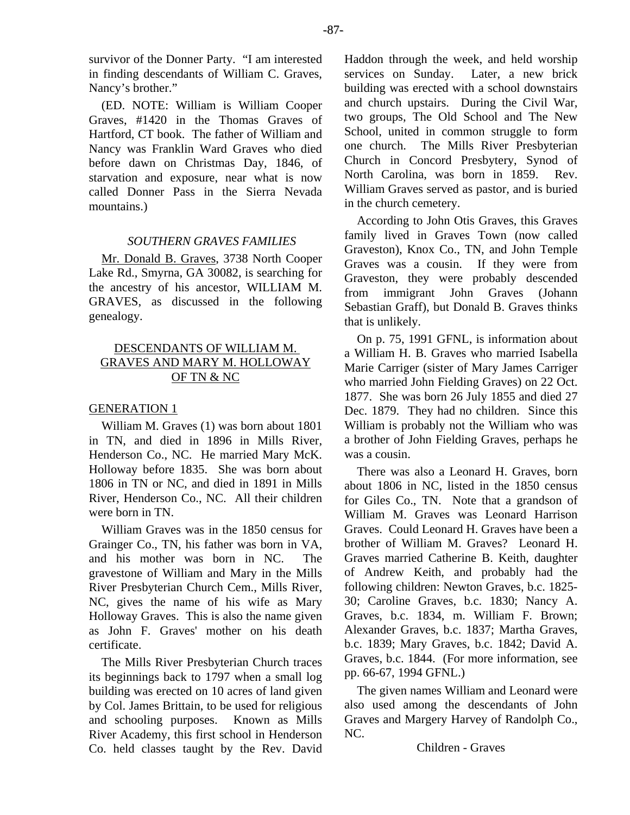survivor of the Donner Party. "I am interested in finding descendants of William C. Graves, Nancy's brother."

(ED. NOTE: William is William Cooper Graves, #1420 in the Thomas Graves of Hartford, CT book. The father of William and Nancy was Franklin Ward Graves who died before dawn on Christmas Day, 1846, of starvation and exposure, near what is now called Donner Pass in the Sierra Nevada mountains.)

## *SOUTHERN GRAVES FAMILIES*

Mr. Donald B. Graves, 3738 North Cooper Lake Rd., Smyrna, GA 30082, is searching for the ancestry of his ancestor, WILLIAM M. GRAVES, as discussed in the following genealogy.

# DESCENDANTS OF WILLIAM M. GRAVES AND MARY M. HOLLOWAY OF TN & NC

#### GENERATION 1

William M. Graves (1) was born about 1801 in TN, and died in 1896 in Mills River, Henderson Co., NC. He married Mary McK. Holloway before 1835. She was born about 1806 in TN or NC, and died in 1891 in Mills River, Henderson Co., NC. All their children were born in TN.

William Graves was in the 1850 census for Grainger Co., TN, his father was born in VA, and his mother was born in NC. The gravestone of William and Mary in the Mills River Presbyterian Church Cem., Mills River, NC, gives the name of his wife as Mary Holloway Graves. This is also the name given as John F. Graves' mother on his death certificate.

The Mills River Presbyterian Church traces its beginnings back to 1797 when a small log building was erected on 10 acres of land given by Col. James Brittain, to be used for religious and schooling purposes. Known as Mills River Academy, this first school in Henderson Co. held classes taught by the Rev. David

Haddon through the week, and held worship services on Sunday. Later, a new brick building was erected with a school downstairs and church upstairs. During the Civil War, two groups, The Old School and The New School, united in common struggle to form one church. The Mills River Presbyterian Church in Concord Presbytery, Synod of North Carolina, was born in 1859. Rev. William Graves served as pastor, and is buried in the church cemetery.

According to John Otis Graves, this Graves family lived in Graves Town (now called Graveston), Knox Co., TN, and John Temple Graves was a cousin. If they were from Graveston, they were probably descended from immigrant John Graves (Johann Sebastian Graff), but Donald B. Graves thinks that is unlikely.

On p. 75, 1991 GFNL, is information about a William H. B. Graves who married Isabella Marie Carriger (sister of Mary James Carriger who married John Fielding Graves) on 22 Oct. 1877. She was born 26 July 1855 and died 27 Dec. 1879. They had no children. Since this William is probably not the William who was a brother of John Fielding Graves, perhaps he was a cousin.

There was also a Leonard H. Graves, born about 1806 in NC, listed in the 1850 census for Giles Co., TN. Note that a grandson of William M. Graves was Leonard Harrison Graves. Could Leonard H. Graves have been a brother of William M. Graves? Leonard H. Graves married Catherine B. Keith, daughter of Andrew Keith, and probably had the following children: Newton Graves, b.c. 1825- 30; Caroline Graves, b.c. 1830; Nancy A. Graves, b.c. 1834, m. William F. Brown; Alexander Graves, b.c. 1837; Martha Graves, b.c. 1839; Mary Graves, b.c. 1842; David A. Graves, b.c. 1844. (For more information, see pp. 66-67, 1994 GFNL.)

The given names William and Leonard were also used among the descendants of John Graves and Margery Harvey of Randolph Co., NC.

Children - Graves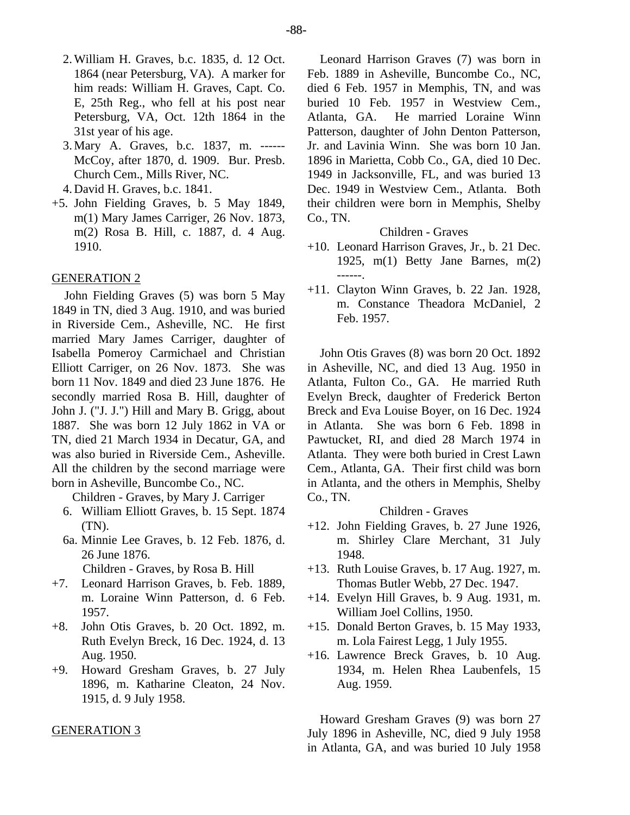- 2. William H. Graves, b.c. 1835, d. 12 Oct. 1864 (near Petersburg, VA). A marker for him reads: William H. Graves, Capt. Co. E, 25th Reg., who fell at his post near Petersburg, VA, Oct. 12th 1864 in the 31st year of his age.
- 3. Mary A. Graves, b.c. 1837, m. ------ McCoy, after 1870, d. 1909. Bur. Presb. Church Cem., Mills River, NC.
- 4. David H. Graves, b.c. 1841.
- +5. John Fielding Graves, b. 5 May 1849, m(1) Mary James Carriger, 26 Nov. 1873, m(2) Rosa B. Hill, c. 1887, d. 4 Aug. 1910.

## GENERATION 2

John Fielding Graves (5) was born 5 May 1849 in TN, died 3 Aug. 1910, and was buried in Riverside Cem., Asheville, NC. He first married Mary James Carriger, daughter of Isabella Pomeroy Carmichael and Christian Elliott Carriger, on 26 Nov. 1873. She was born 11 Nov. 1849 and died 23 June 1876. He secondly married Rosa B. Hill, daughter of John J. ("J. J.") Hill and Mary B. Grigg, about 1887. She was born 12 July 1862 in VA or TN, died 21 March 1934 in Decatur, GA, and was also buried in Riverside Cem., Asheville. All the children by the second marriage were born in Asheville, Buncombe Co., NC.

Children - Graves, by Mary J. Carriger

- 6. William Elliott Graves, b. 15 Sept. 1874 (TN).
- 6a. Minnie Lee Graves, b. 12 Feb. 1876, d. 26 June 1876. Children - Graves, by Rosa B. Hill
- +7. Leonard Harrison Graves, b. Feb. 1889, m. Loraine Winn Patterson, d. 6 Feb. 1957.
- +8. John Otis Graves, b. 20 Oct. 1892, m. Ruth Evelyn Breck, 16 Dec. 1924, d. 13 Aug. 1950.
- +9. Howard Gresham Graves, b. 27 July 1896, m. Katharine Cleaton, 24 Nov. 1915, d. 9 July 1958.

## GENERATION 3

Leonard Harrison Graves (7) was born in Feb. 1889 in Asheville, Buncombe Co., NC, died 6 Feb. 1957 in Memphis, TN, and was buried 10 Feb. 1957 in Westview Cem., Atlanta, GA. He married Loraine Winn Patterson, daughter of John Denton Patterson, Jr. and Lavinia Winn. She was born 10 Jan. 1896 in Marietta, Cobb Co., GA, died 10 Dec. 1949 in Jacksonville, FL, and was buried 13 Dec. 1949 in Westview Cem., Atlanta. Both their children were born in Memphis, Shelby Co., TN.

## Children - Graves

- +10. Leonard Harrison Graves, Jr., b. 21 Dec. 1925, m(1) Betty Jane Barnes, m(2) ------.
- +11. Clayton Winn Graves, b. 22 Jan. 1928, m. Constance Theadora McDaniel, 2 Feb. 1957.

John Otis Graves (8) was born 20 Oct. 1892 in Asheville, NC, and died 13 Aug. 1950 in Atlanta, Fulton Co., GA. He married Ruth Evelyn Breck, daughter of Frederick Berton Breck and Eva Louise Boyer, on 16 Dec. 1924 in Atlanta. She was born 6 Feb. 1898 in Pawtucket, RI, and died 28 March 1974 in Atlanta. They were both buried in Crest Lawn Cem., Atlanta, GA. Their first child was born in Atlanta, and the others in Memphis, Shelby Co., TN.

## Children - Graves

- +12. John Fielding Graves, b. 27 June 1926, m. Shirley Clare Merchant, 31 July 1948.
- +13. Ruth Louise Graves, b. 17 Aug. 1927, m. Thomas Butler Webb, 27 Dec. 1947.
- +14. Evelyn Hill Graves, b. 9 Aug. 1931, m. William Joel Collins, 1950.
- +15. Donald Berton Graves, b. 15 May 1933, m. Lola Fairest Legg, 1 July 1955.
- +16. Lawrence Breck Graves, b. 10 Aug. 1934, m. Helen Rhea Laubenfels, 15 Aug. 1959.

Howard Gresham Graves (9) was born 27 July 1896 in Asheville, NC, died 9 July 1958 in Atlanta, GA, and was buried 10 July 1958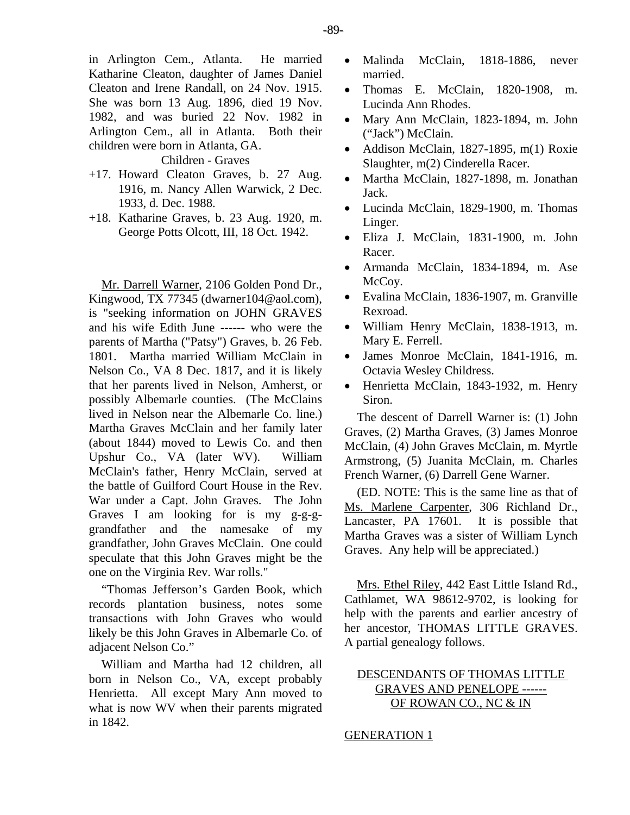in Arlington Cem., Atlanta. He married Katharine Cleaton, daughter of James Daniel Cleaton and Irene Randall, on 24 Nov. 1915. She was born 13 Aug. 1896, died 19 Nov. 1982, and was buried 22 Nov. 1982 in Arlington Cem., all in Atlanta. Both their children were born in Atlanta, GA.

### Children - Graves

- +17. Howard Cleaton Graves, b. 27 Aug. 1916, m. Nancy Allen Warwick, 2 Dec. 1933, d. Dec. 1988.
- +18. Katharine Graves, b. 23 Aug. 1920, m. George Potts Olcott, III, 18 Oct. 1942.

Mr. Darrell Warner, 2106 Golden Pond Dr., Kingwood, TX 77345 (dwarner104@aol.com), is "seeking information on JOHN GRAVES and his wife Edith June ------ who were the parents of Martha ("Patsy") Graves, b. 26 Feb. 1801. Martha married William McClain in Nelson Co., VA 8 Dec. 1817, and it is likely that her parents lived in Nelson, Amherst, or possibly Albemarle counties. (The McClains lived in Nelson near the Albemarle Co. line.) Martha Graves McClain and her family later (about 1844) moved to Lewis Co. and then Upshur Co., VA (later WV). William McClain's father, Henry McClain, served at the battle of Guilford Court House in the Rev. War under a Capt. John Graves. The John Graves I am looking for is my g-g-ggrandfather and the namesake of my grandfather, John Graves McClain. One could speculate that this John Graves might be the one on the Virginia Rev. War rolls."

"Thomas Jefferson's Garden Book, which records plantation business, notes some transactions with John Graves who would likely be this John Graves in Albemarle Co. of adjacent Nelson Co."

William and Martha had 12 children, all born in Nelson Co., VA, except probably Henrietta. All except Mary Ann moved to what is now WV when their parents migrated in 1842.

- Malinda McClain, 1818-1886, never married.
- Thomas E. McClain, 1820-1908, m. Lucinda Ann Rhodes.
- Mary Ann McClain, 1823-1894, m. John ("Jack") McClain.
- Addison McClain, 1827-1895, m(1) Roxie Slaughter, m(2) Cinderella Racer.
- Martha McClain, 1827-1898, m. Jonathan Jack.
- Lucinda McClain, 1829-1900, m. Thomas Linger.
- Eliza J. McClain, 1831-1900, m. John Racer.
- Armanda McClain, 1834-1894, m. Ase McCoy.
- Evalina McClain, 1836-1907, m. Granville Rexroad.
- William Henry McClain, 1838-1913, m. Mary E. Ferrell.
- James Monroe McClain, 1841-1916, m. Octavia Wesley Childress.
- Henrietta McClain, 1843-1932, m. Henry Siron.

The descent of Darrell Warner is: (1) John Graves, (2) Martha Graves, (3) James Monroe McClain, (4) John Graves McClain, m. Myrtle Armstrong, (5) Juanita McClain, m. Charles French Warner, (6) Darrell Gene Warner.

(ED. NOTE: This is the same line as that of Ms. Marlene Carpenter, 306 Richland Dr., Lancaster, PA 17601. It is possible that Martha Graves was a sister of William Lynch Graves. Any help will be appreciated.)

Mrs. Ethel Riley, 442 East Little Island Rd., Cathlamet, WA 98612-9702, is looking for help with the parents and earlier ancestry of her ancestor, THOMAS LITTLE GRAVES. A partial genealogy follows.

# DESCENDANTS OF THOMAS LITTLE GRAVES AND PENELOPE ------ OF ROWAN CO., NC & IN

GENERATION 1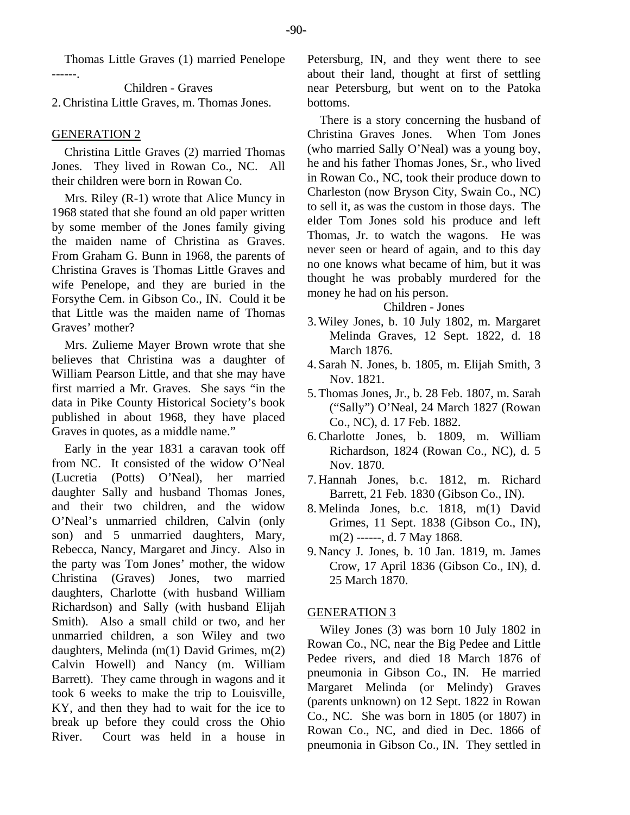Thomas Little Graves (1) married Penelope ------.

Children - Graves 2. Christina Little Graves, m. Thomas Jones.

## GENERATION 2

Christina Little Graves (2) married Thomas Jones. They lived in Rowan Co., NC. All their children were born in Rowan Co.

Mrs. Riley (R-1) wrote that Alice Muncy in 1968 stated that she found an old paper written by some member of the Jones family giving the maiden name of Christina as Graves. From Graham G. Bunn in 1968, the parents of Christina Graves is Thomas Little Graves and wife Penelope, and they are buried in the Forsythe Cem. in Gibson Co., IN. Could it be that Little was the maiden name of Thomas Graves' mother?

Mrs. Zulieme Mayer Brown wrote that she believes that Christina was a daughter of William Pearson Little, and that she may have first married a Mr. Graves. She says "in the data in Pike County Historical Society's book published in about 1968, they have placed Graves in quotes, as a middle name."

Early in the year 1831 a caravan took off from NC. It consisted of the widow O'Neal (Lucretia (Potts) O'Neal), her married daughter Sally and husband Thomas Jones, and their two children, and the widow O'Neal's unmarried children, Calvin (only son) and 5 unmarried daughters, Mary, Rebecca, Nancy, Margaret and Jincy. Also in the party was Tom Jones' mother, the widow Christina (Graves) Jones, two married daughters, Charlotte (with husband William Richardson) and Sally (with husband Elijah Smith). Also a small child or two, and her unmarried children, a son Wiley and two daughters, Melinda (m(1) David Grimes, m(2) Calvin Howell) and Nancy (m. William Barrett). They came through in wagons and it took 6 weeks to make the trip to Louisville, KY, and then they had to wait for the ice to break up before they could cross the Ohio River. Court was held in a house in

Petersburg, IN, and they went there to see about their land, thought at first of settling near Petersburg, but went on to the Patoka bottoms.

There is a story concerning the husband of Christina Graves Jones. When Tom Jones (who married Sally O'Neal) was a young boy, he and his father Thomas Jones, Sr., who lived in Rowan Co., NC, took their produce down to Charleston (now Bryson City, Swain Co., NC) to sell it, as was the custom in those days. The elder Tom Jones sold his produce and left Thomas, Jr. to watch the wagons. He was never seen or heard of again, and to this day no one knows what became of him, but it was thought he was probably murdered for the money he had on his person.

# Children - Jones

- 3. Wiley Jones, b. 10 July 1802, m. Margaret Melinda Graves, 12 Sept. 1822, d. 18 March 1876.
- 4. Sarah N. Jones, b. 1805, m. Elijah Smith, 3 Nov. 1821.
- 5. Thomas Jones, Jr., b. 28 Feb. 1807, m. Sarah ("Sally") O'Neal, 24 March 1827 (Rowan Co., NC), d. 17 Feb. 1882.
- 6. Charlotte Jones, b. 1809, m. William Richardson, 1824 (Rowan Co., NC), d. 5 Nov. 1870.
- 7. Hannah Jones, b.c. 1812, m. Richard Barrett, 21 Feb. 1830 (Gibson Co., IN).
- 8. Melinda Jones, b.c. 1818, m(1) David Grimes, 11 Sept. 1838 (Gibson Co., IN), m(2) ------, d. 7 May 1868.
- 9. Nancy J. Jones, b. 10 Jan. 1819, m. James Crow, 17 April 1836 (Gibson Co., IN), d. 25 March 1870.

## GENERATION 3

Wiley Jones (3) was born 10 July 1802 in Rowan Co., NC, near the Big Pedee and Little Pedee rivers, and died 18 March 1876 of pneumonia in Gibson Co., IN. He married Margaret Melinda (or Melindy) Graves (parents unknown) on 12 Sept. 1822 in Rowan Co., NC. She was born in 1805 (or 1807) in Rowan Co., NC, and died in Dec. 1866 of pneumonia in Gibson Co., IN. They settled in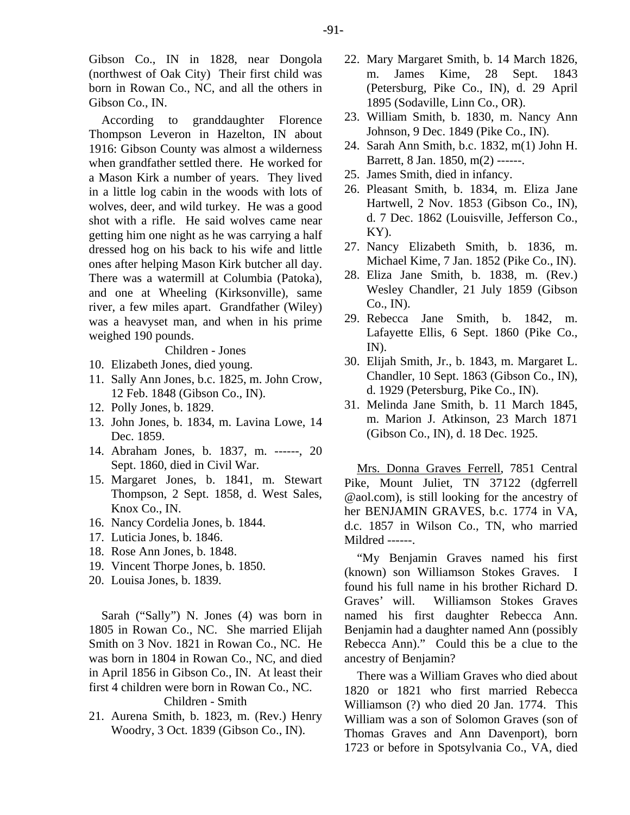Gibson Co., IN in 1828, near Dongola (northwest of Oak City) Their first child was born in Rowan Co., NC, and all the others in Gibson Co., IN.

According to granddaughter Florence Thompson Leveron in Hazelton, IN about 1916: Gibson County was almost a wilderness when grandfather settled there. He worked for a Mason Kirk a number of years. They lived in a little log cabin in the woods with lots of wolves, deer, and wild turkey. He was a good shot with a rifle. He said wolves came near getting him one night as he was carrying a half dressed hog on his back to his wife and little ones after helping Mason Kirk butcher all day. There was a watermill at Columbia (Patoka), and one at Wheeling (Kirksonville), same river, a few miles apart. Grandfather (Wiley) was a heavyset man, and when in his prime weighed 190 pounds.

Children - Jones

- 10. Elizabeth Jones, died young.
- 11. Sally Ann Jones, b.c. 1825, m. John Crow, 12 Feb. 1848 (Gibson Co., IN).
- 12. Polly Jones, b. 1829.
- 13. John Jones, b. 1834, m. Lavina Lowe, 14 Dec. 1859.
- 14. Abraham Jones, b. 1837, m. ------, 20 Sept. 1860, died in Civil War.
- 15. Margaret Jones, b. 1841, m. Stewart Thompson, 2 Sept. 1858, d. West Sales, Knox Co., IN.
- 16. Nancy Cordelia Jones, b. 1844.
- 17. Luticia Jones, b. 1846.
- 18. Rose Ann Jones, b. 1848.
- 19. Vincent Thorpe Jones, b. 1850.
- 20. Louisa Jones, b. 1839.

Sarah ("Sally") N. Jones (4) was born in 1805 in Rowan Co., NC. She married Elijah Smith on 3 Nov. 1821 in Rowan Co., NC. He was born in 1804 in Rowan Co., NC, and died in April 1856 in Gibson Co., IN. At least their first 4 children were born in Rowan Co., NC.

Children - Smith

21. Aurena Smith, b. 1823, m. (Rev.) Henry Woodry, 3 Oct. 1839 (Gibson Co., IN).

- 22. Mary Margaret Smith, b. 14 March 1826, m. James Kime, 28 Sept. 1843 (Petersburg, Pike Co., IN), d. 29 April 1895 (Sodaville, Linn Co., OR).
- 23. William Smith, b. 1830, m. Nancy Ann Johnson, 9 Dec. 1849 (Pike Co., IN).
- 24. Sarah Ann Smith, b.c. 1832, m(1) John H. Barrett, 8 Jan. 1850, m(2) ------.
- 25. James Smith, died in infancy.
- 26. Pleasant Smith, b. 1834, m. Eliza Jane Hartwell, 2 Nov. 1853 (Gibson Co., IN), d. 7 Dec. 1862 (Louisville, Jefferson Co., KY).
- 27. Nancy Elizabeth Smith, b. 1836, m. Michael Kime, 7 Jan. 1852 (Pike Co., IN).
- 28. Eliza Jane Smith, b. 1838, m. (Rev.) Wesley Chandler, 21 July 1859 (Gibson Co., IN).
- 29. Rebecca Jane Smith, b. 1842, m. Lafayette Ellis, 6 Sept. 1860 (Pike Co., IN).
- 30. Elijah Smith, Jr., b. 1843, m. Margaret L. Chandler, 10 Sept. 1863 (Gibson Co., IN), d. 1929 (Petersburg, Pike Co., IN).
- 31. Melinda Jane Smith, b. 11 March 1845, m. Marion J. Atkinson, 23 March 1871 (Gibson Co., IN), d. 18 Dec. 1925.

Mrs. Donna Graves Ferrell, 7851 Central Pike, Mount Juliet, TN 37122 (dgferrell @aol.com), is still looking for the ancestry of her BENJAMIN GRAVES, b.c. 1774 in VA, d.c. 1857 in Wilson Co., TN, who married Mildred ------.

"My Benjamin Graves named his first (known) son Williamson Stokes Graves. I found his full name in his brother Richard D. Graves' will. Williamson Stokes Graves named his first daughter Rebecca Ann. Benjamin had a daughter named Ann (possibly Rebecca Ann)." Could this be a clue to the ancestry of Benjamin?

There was a William Graves who died about 1820 or 1821 who first married Rebecca Williamson (?) who died 20 Jan. 1774. This William was a son of Solomon Graves (son of Thomas Graves and Ann Davenport), born 1723 or before in Spotsylvania Co., VA, died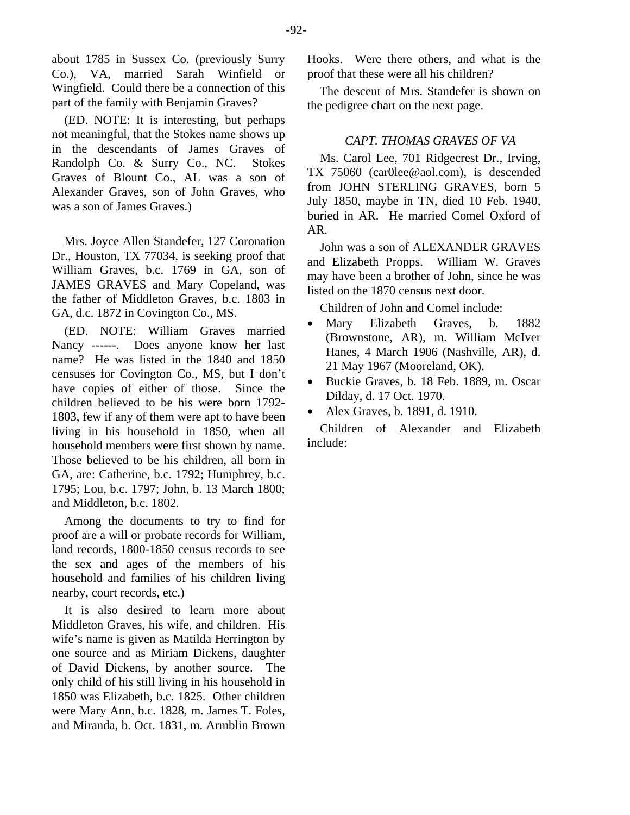about 1785 in Sussex Co. (previously Surry Co.), VA, married Sarah Winfield or Wingfield. Could there be a connection of this part of the family with Benjamin Graves?

(ED. NOTE: It is interesting, but perhaps not meaningful, that the Stokes name shows up in the descendants of James Graves of Randolph Co. & Surry Co., NC. Stokes Graves of Blount Co., AL was a son of Alexander Graves, son of John Graves, who was a son of James Graves.)

Mrs. Joyce Allen Standefer, 127 Coronation Dr., Houston, TX 77034, is seeking proof that William Graves, b.c. 1769 in GA, son of JAMES GRAVES and Mary Copeland, was the father of Middleton Graves, b.c. 1803 in GA, d.c. 1872 in Covington Co., MS.

(ED. NOTE: William Graves married Nancy ------. Does anyone know her last name? He was listed in the 1840 and 1850 censuses for Covington Co., MS, but I don't have copies of either of those. Since the children believed to be his were born 1792- 1803, few if any of them were apt to have been living in his household in 1850, when all household members were first shown by name. Those believed to be his children, all born in GA, are: Catherine, b.c. 1792; Humphrey, b.c. 1795; Lou, b.c. 1797; John, b. 13 March 1800; and Middleton, b.c. 1802.

Among the documents to try to find for proof are a will or probate records for William, land records, 1800-1850 census records to see the sex and ages of the members of his household and families of his children living nearby, court records, etc.)

It is also desired to learn more about Middleton Graves, his wife, and children. His wife's name is given as Matilda Herrington by one source and as Miriam Dickens, daughter of David Dickens, by another source. The only child of his still living in his household in 1850 was Elizabeth, b.c. 1825. Other children were Mary Ann, b.c. 1828, m. James T. Foles, and Miranda, b. Oct. 1831, m. Armblin Brown

Hooks. Were there others, and what is the proof that these were all his children?

The descent of Mrs. Standefer is shown on the pedigree chart on the next page.

## *CAPT. THOMAS GRAVES OF VA*

Ms. Carol Lee, 701 Ridgecrest Dr., Irving, TX 75060 (car0lee@aol.com), is descended from JOHN STERLING GRAVES, born 5 July 1850, maybe in TN, died 10 Feb. 1940, buried in AR. He married Comel Oxford of AR.

John was a son of ALEXANDER GRAVES and Elizabeth Propps. William W. Graves may have been a brother of John, since he was listed on the 1870 census next door.

Children of John and Comel include:

- Mary Elizabeth Graves, b. 1882 (Brownstone, AR), m. William McIver Hanes, 4 March 1906 (Nashville, AR), d. 21 May 1967 (Mooreland, OK).
- Buckie Graves, b. 18 Feb. 1889, m. Oscar Dilday, d. 17 Oct. 1970.
- Alex Graves, b. 1891, d. 1910.

Children of Alexander and Elizabeth include: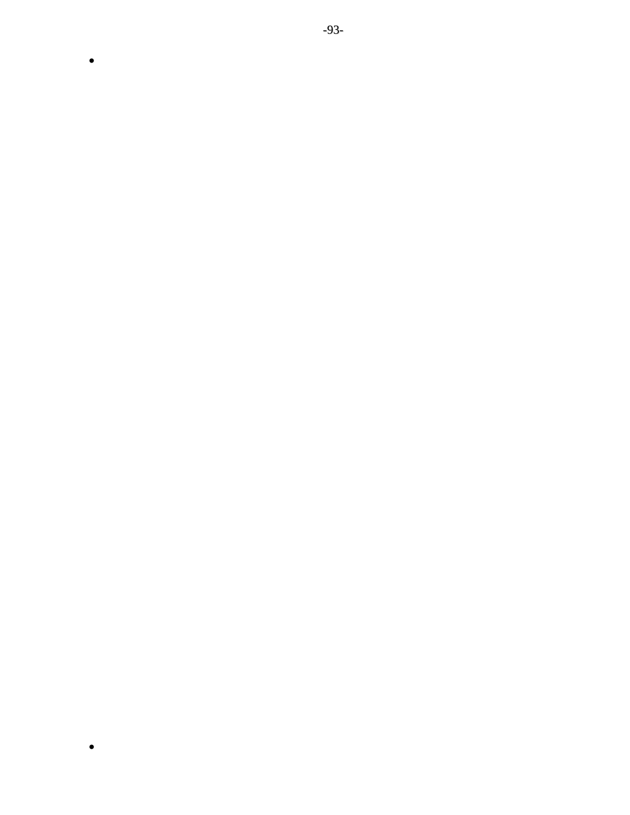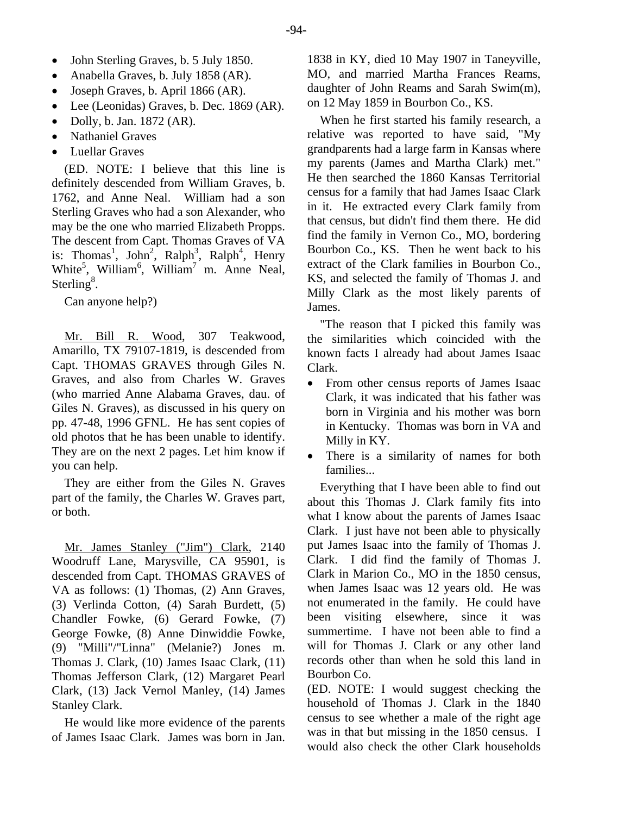- John Sterling Graves, b. 5 July 1850.
- Anabella Graves, b. July 1858 (AR).
- Joseph Graves, b. April 1866 (AR).
- Lee (Leonidas) Graves, b. Dec. 1869 (AR).
- Dolly, b. Jan. 1872 (AR).
- Nathaniel Graves
- Luellar Graves

(ED. NOTE: I believe that this line is definitely descended from William Graves, b. 1762, and Anne Neal. William had a son Sterling Graves who had a son Alexander, who may be the one who married Elizabeth Propps. The descent from Capt. Thomas Graves of VA is: Thomas<sup>1</sup>, John<sup>2</sup>, Ralph<sup>3</sup>, Ralph<sup>4</sup>, Henry White<sup>5</sup>, William<sup>6</sup>, William<sup>7</sup> m. Anne Neal, Sterling<sup>8</sup>.

Can anyone help?)

Mr. Bill R. Wood, 307 Teakwood, Amarillo, TX 79107-1819, is descended from Capt. THOMAS GRAVES through Giles N. Graves, and also from Charles W. Graves (who married Anne Alabama Graves, dau. of Giles N. Graves), as discussed in his query on pp. 47-48, 1996 GFNL. He has sent copies of old photos that he has been unable to identify. They are on the next 2 pages. Let him know if you can help.

They are either from the Giles N. Graves part of the family, the Charles W. Graves part, or both.

Mr. James Stanley ("Jim") Clark, 2140 Woodruff Lane, Marysville, CA 95901, is descended from Capt. THOMAS GRAVES of VA as follows: (1) Thomas, (2) Ann Graves, (3) Verlinda Cotton, (4) Sarah Burdett, (5) Chandler Fowke, (6) Gerard Fowke, (7) George Fowke, (8) Anne Dinwiddie Fowke, (9) "Milli"/"Linna" (Melanie?) Jones m. Thomas J. Clark, (10) James Isaac Clark, (11) Thomas Jefferson Clark, (12) Margaret Pearl Clark, (13) Jack Vernol Manley, (14) James Stanley Clark.

He would like more evidence of the parents of James Isaac Clark. James was born in Jan.

1838 in KY, died 10 May 1907 in Taneyville, MO, and married Martha Frances Reams, daughter of John Reams and Sarah Swim(m), on 12 May 1859 in Bourbon Co., KS.

When he first started his family research, a relative was reported to have said, "My grandparents had a large farm in Kansas where my parents (James and Martha Clark) met." He then searched the 1860 Kansas Territorial census for a family that had James Isaac Clark in it. He extracted every Clark family from that census, but didn't find them there. He did find the family in Vernon Co., MO, bordering Bourbon Co., KS. Then he went back to his extract of the Clark families in Bourbon Co., KS, and selected the family of Thomas J. and Milly Clark as the most likely parents of James.

"The reason that I picked this family was the similarities which coincided with the known facts I already had about James Isaac Clark.

- From other census reports of James Isaac Clark, it was indicated that his father was born in Virginia and his mother was born in Kentucky. Thomas was born in VA and Milly in KY.
- There is a similarity of names for both families...

Everything that I have been able to find out about this Thomas J. Clark family fits into what I know about the parents of James Isaac Clark. I just have not been able to physically put James Isaac into the family of Thomas J. Clark. I did find the family of Thomas J. Clark in Marion Co., MO in the 1850 census, when James Isaac was 12 years old. He was not enumerated in the family. He could have been visiting elsewhere, since it was summertime. I have not been able to find a will for Thomas J. Clark or any other land records other than when he sold this land in Bourbon Co.

(ED. NOTE: I would suggest checking the household of Thomas J. Clark in the 1840 census to see whether a male of the right age was in that but missing in the 1850 census. I would also check the other Clark households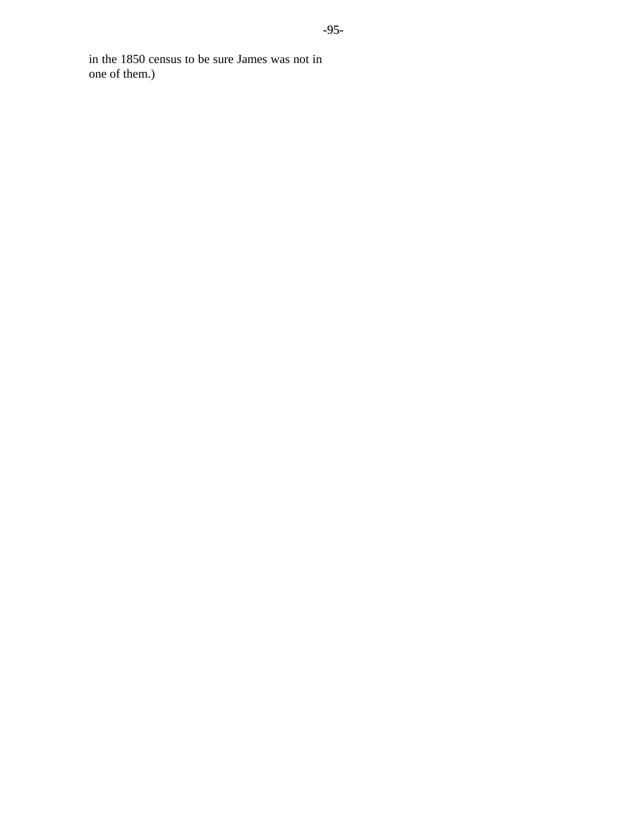in the 1850 census to be sure James was not in one of them.)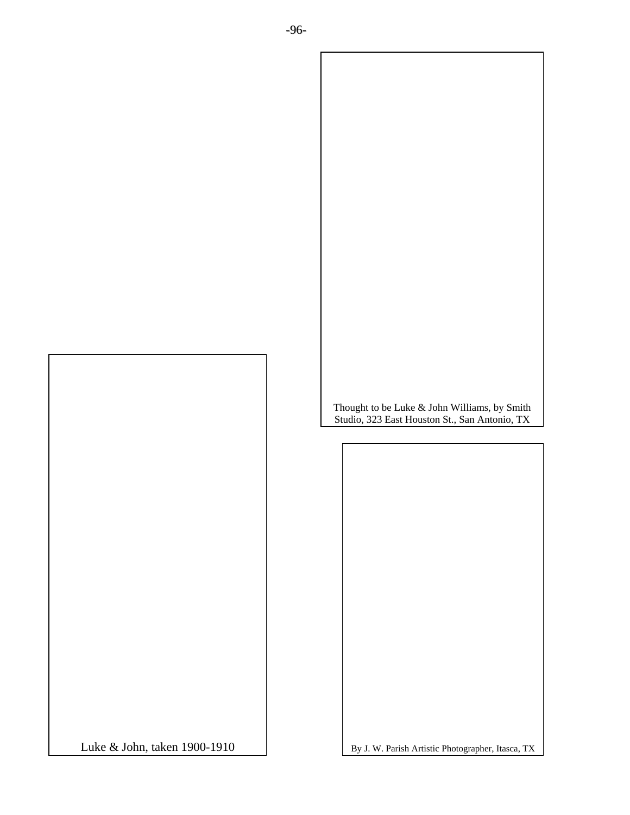Thought to be Luke & John Williams, by Smith Studio, 323 East Houston St., San Antonio, TX

Luke & John, taken 1900-1910 <br>By J. W. Parish Artistic Photographer, Itasca, TX